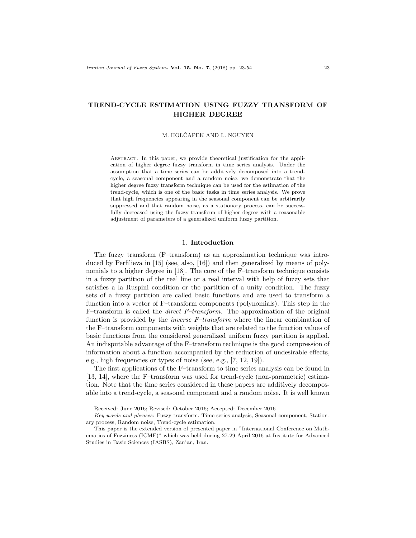# TREND-CYCLE ESTIMATION USING FUZZY TRANSFORM OF HIGHER DEGREE

M. HOLČAPEK AND L. NGUYEN

ABSTRACT. In this paper, we provide theoretical justification for the application of higher degree fuzzy transform in time series analysis. Under the assumption that a time series can be additively decomposed into a trendcycle, a seasonal component and a random noise, we demonstrate that the higher degree fuzzy transform technique can be used for the estimation of the trend-cycle, which is one of the basic tasks in time series analysis. We prove that high frequencies appearing in the seasonal component can be arbitrarily suppressed and that random noise, as a stationary process, can be successfully decreased using the fuzzy transform of higher degree with a reasonable adjustment of parameters of a generalized uniform fuzzy partition.

### 1. Introduction

The fuzzy transform (F–transform) as an approximation technique was introduced by Perfilieva in [15] (see, also, [16]) and then generalized by means of polynomials to a higher degree in [18]. The core of the F–transform technique consists in a fuzzy partition of the real line or a real interval with help of fuzzy sets that satisfies a la Ruspini condition or the partition of a unity condition. The fuzzy sets of a fuzzy partition are called basic functions and are used to transform a function into a vector of F–transform components (polynomials). This step in the F–transform is called the direct F–transform. The approximation of the original function is provided by the inverse F–transform where the linear combination of the F–transform components with weights that are related to the function values of basic functions from the considered generalized uniform fuzzy partition is applied. An indisputable advantage of the F–transform technique is the good compression of information about a function accompanied by the reduction of undesirable effects, e.g., high frequencies or types of noise (see, e.g., [7, 12, 19]).

The first applications of the F–transform to time series analysis can be found in [13, 14], where the F–transform was used for trend-cycle (non-parametric) estimation. Note that the time series considered in these papers are additively decomposable into a trend-cycle, a seasonal component and a random noise. It is well known

Received: June 2016; Revised: October 2016; Accepted: December 2016

Key words and phrases: Fuzzy transform, Time series analysis, Seasonal component, Stationary process, Random noise, Trend-cycle estimation.

This paper is the extended version of presented paper in "International Conference on Mathematics of Fuzziness (ICMF)" which was held during 27-29 April 2016 at Institute for Advanced Studies in Basic Sciences (IASBS), Zanjan, Iran.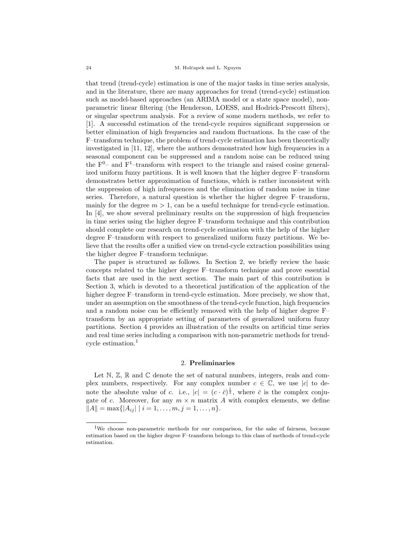that trend (trend-cycle) estimation is one of the major tasks in time series analysis, and in the literature, there are many approaches for trend (trend-cycle) estimation such as model-based approaches (an ARIMA model or a state space model), nonparametric linear filtering (the Henderson, LOESS, and Hodrick-Prescott filters), or singular spectrum analysis. For a review of some modern methods, we refer to [1]. A successful estimation of the trend-cycle requires significant suppression or better elimination of high frequencies and random fluctuations. In the case of the F–transform technique, the problem of trend-cycle estimation has been theoretically investigated in  $[11, 12]$ , where the authors demonstrated how high frequencies in a seasonal component can be suppressed and a random noise can be reduced using the  $F^{0}$ – and  $F^{1}$ –transform with respect to the triangle and raised cosine generalized uniform fuzzy partitions. It is well known that the higher degree F–transform demonstrates better approximation of functions, which is rather inconsistent with the suppression of high infrequences and the elimination of random noise in time series. Therefore, a natural question is whether the higher degree F–transform, mainly for the degree  $m > 1$ , can be a useful technique for trend-cycle estimation. In [4], we show several preliminary results on the suppression of high frequencies in time series using the higher degree F–transform technique and this contribution should complete our research on trend-cycle estimation with the help of the higher degree F–transform with respect to generalized uniform fuzzy partitions. We believe that the results offer a unified view on trend-cycle extraction possibilities using the higher degree F–transform technique.

The paper is structured as follows. In Section 2, we briefly review the basic concepts related to the higher degree F–transform technique and prove essential facts that are used in the next section. The main part of this contribution is Section 3, which is devoted to a theoretical justification of the application of the higher degree F–transform in trend-cycle estimation. More precisely, we show that, under an assumption on the smoothness of the trend-cycle function, high frequencies and a random noise can be efficiently removed with the help of higher degree F– transform by an appropriate setting of parameters of generalized uniform fuzzy partitions. Section 4 provides an illustration of the results on artificial time series and real time series including a comparison with non-parametric methods for trendcycle estimation.<sup>1</sup>

#### 2. Preliminaries

Let N,  $\mathbb{Z}, \mathbb{R}$  and  $\mathbb{C}$  denote the set of natural numbers, integers, reals and complex numbers, respectively. For any complex number  $c \in \mathbb{C}$ , we use |c| to denote the absolute value of c. i.e.,  $|c| = (c \cdot \bar{c})^{\frac{1}{2}}$ , where  $\bar{c}$  is the complex conjugate of c. Moreover, for any  $m \times n$  matrix A with complex elements, we define  $||A|| = \max\{|A_{ij}| \mid i = 1, \ldots, m, j = 1, \ldots, n\}.$ 

<sup>&</sup>lt;sup>1</sup>We choose non-parametric methods for our comparison, for the sake of fairness, because estimation based on the higher degree F–transform belongs to this class of methods of trend-cycle estimation.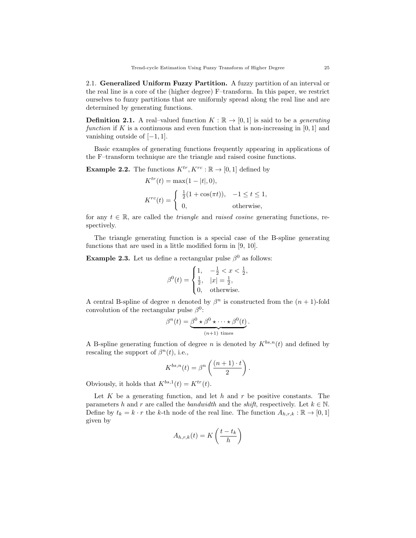2.1. Generalized Uniform Fuzzy Partition. A fuzzy partition of an interval or the real line is a core of the (higher degree) F–transform. In this paper, we restrict ourselves to fuzzy partitions that are uniformly spread along the real line and are determined by generating functions.

**Definition 2.1.** A real–valued function  $K : \mathbb{R} \to [0,1]$  is said to be a *generating* function if K is a continuous and even function that is non-increasing in  $[0,1]$  and vanishing outside of  $[-1, 1]$ .

Basic examples of generating functions frequently appearing in applications of the F–transform technique are the triangle and raised cosine functions.

**Example 2.2.** The functions  $K^{tr}, K^{rc} : \mathbb{R} \to [0, 1]$  defined by

$$
K^{tr}(t) = \max(1 - |t|, 0),
$$
  
\n
$$
K^{rc}(t) = \begin{cases} \frac{1}{2}(1 + \cos(\pi t)), & -1 \le t \le 1, \\ 0, & \text{otherwise,} \end{cases}
$$

for any  $t \in \mathbb{R}$ , are called the *triangle* and *raised cosine* generating functions, respectively.

The triangle generating function is a special case of the B-spline generating functions that are used in a little modified form in [9, 10].

**Example 2.3.** Let us define a rectangular pulse  $\beta^0$  as follows:

$$
\beta^{0}(t) = \begin{cases} 1, & -\frac{1}{2} < x < \frac{1}{2}, \\ \frac{1}{2}, & |x| = \frac{1}{2}, \\ 0, & \text{otherwise.} \end{cases}
$$

A central B-spline of degree *n* denoted by  $\beta^n$  is constructed from the  $(n + 1)$ -fold convolution of the rectangular pulse  $\beta^0$ :

$$
\beta^{n}(t) = \underbrace{\beta^{0} \star \beta^{0} \star \cdots \star \beta^{0}(t)}_{(n+1) \text{ times}}.
$$

A B-spline generating function of degree n is denoted by  $K^{bs,n}(t)$  and defined by rescaling the support of  $\beta^{n}(t)$ , i.e.,

$$
K^{bs,n}(t) = \beta^n \left( \frac{(n+1) \cdot t}{2} \right).
$$

Obviously, it holds that  $K^{bs,1}(t) = K^{tr}(t)$ .

Let  $K$  be a generating function, and let  $h$  and  $r$  be positive constants. The parameters h and r are called the bandwidth and the shift, respectively. Let  $k \in \mathbb{N}$ . Define by  $t_k = k \cdot r$  the k-th node of the real line. The function  $A_{h,r,k} : \mathbb{R} \to [0,1]$ given by

$$
A_{h,r,k}(t) = K\left(\frac{t - t_k}{h}\right)
$$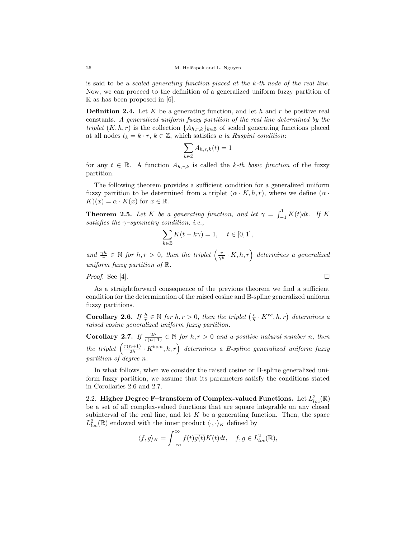is said to be a *scaled generating function placed at the k-th node of the real line.* Now, we can proceed to the definition of a generalized uniform fuzzy partition of  $\mathbb R$  as has been proposed in [6].

**Definition 2.4.** Let K be a generating function, and let h and r be positive real constants. A generalized uniform fuzzy partition of the real line determined by the triplet  $(K, h, r)$  is the collection  $\{A_{h,r,k}\}_{k\in\mathbb{Z}}$  of scaled generating functions placed at all nodes  $t_k = k \cdot r$ ,  $k \in \mathbb{Z}$ , which satisfies a la Ruspini condition:

$$
\sum_{k\in\mathbb{Z}}A_{h,r,k}(t)=1
$$

for any  $t \in \mathbb{R}$ . A function  $A_{h,r,k}$  is called the k-th basic function of the fuzzy partition.

The following theorem provides a sufficient condition for a generalized uniform fuzzy partition to be determined from a triplet  $(\alpha \cdot K, h, r)$ , where we define  $(\alpha \cdot$  $K(x) = \alpha \cdot K(x)$  for  $x \in \mathbb{R}$ .

**Theorem 2.5.** Let K be a generating function, and let  $\gamma = \int_{-1}^{1} K(t) dt$ . If K satisfies the  $\gamma$ -symmetry condition, i.e.,

$$
\sum_{k \in \mathbb{Z}} K(t - k\gamma) = 1, \quad t \in [0, 1],
$$

and  $\frac{\gamma h}{r} \in \mathbb{N}$  for  $h, r > 0$ , then the triplet  $\left(\frac{r}{\gamma h} \cdot K, h, r\right)$  determines a generalized uniform fuzzy partition of R.

Proof. See [4].

As a straightforward consequence of the previous theorem we find a sufficient condition for the determination of the raised cosine and B-spline generalized uniform fuzzy partitions.

**Corollary 2.6.** If  $\frac{h}{r} \in \mathbb{N}$  for  $h, r > 0$ , then the triplet  $\left(\frac{r}{h} \cdot K^{rc}, h, r\right)$  determines a raised cosine generalized uniform fuzzy partition.

**Corollary 2.7.** If  $\frac{2h}{r(n+1)} \in \mathbb{N}$  for  $h, r > 0$  and a positive natural number n, then the triplet  $\left(\frac{r(n+1)}{2h}\right)$  $\left(\frac{2h+1}{2h}\cdot K^{bs,n},h,r\right)$  determines a B-spline generalized uniform fuzzy partition of degree n.

In what follows, when we consider the raised cosine or B-spline generalized uniform fuzzy partition, we assume that its parameters satisfy the conditions stated in Corollaries 2.6 and 2.7.

2.2. Higher Degree F–transform of Complex-valued Functions. Let  $L^2_{loc}(\mathbb{R})$ be a set of all complex-valued functions that are square integrable on any closed subinterval of the real line, and let  $K$  be a generating function. Then, the space  $L^2_{loc}(\mathbb{R})$  endowed with the inner product  $\langle\cdot,\cdot\rangle_K$  defined by

$$
\langle f, g \rangle_K = \int_{-\infty}^{\infty} f(t) \overline{g(t)} K(t) dt, \quad f, g \in L^2_{loc}(\mathbb{R}),
$$

$$
\Box
$$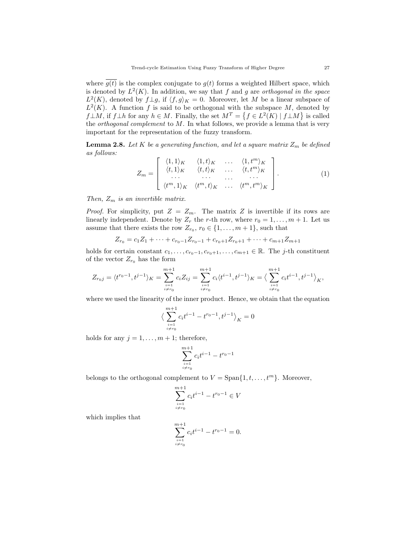where  $\overline{g(t)}$  is the complex conjugate to  $g(t)$  forms a weighted Hilbert space, which is denoted by  $L^2(K)$ . In addition, we say that f and g are orthogonal in the space  $L^2(K)$ , denoted by  $f \perp g$ , if  $\langle f, g \rangle_K = 0$ . Moreover, let M be a linear subspace of  $L^2(K)$ . A function f is said to be orthogonal with the subspace M, denoted by  $f \perp M$ , if  $f \perp h$  for any  $h \in M$ . Finally, the set  $M^T = \{ f \in L^2(K) \mid f \perp M \}$  is called the *orthogonal complement* to  $M$ . In what follows, we provide a lemma that is very important for the representation of the fuzzy transform.

**Lemma 2.8.** Let K be a generating function, and let a square matrix  $Z_m$  be defined as follows:

$$
Z_m = \begin{bmatrix} \langle 1, 1 \rangle_K & \langle 1, t \rangle_K & \dots & \langle 1, t^m \rangle_K \\ \langle t, 1 \rangle_K & \langle t, t \rangle_K & \dots & \langle t, t^m \rangle_K \\ \dots & \dots & \dots & \dots \\ \langle t^m, 1 \rangle_K & \langle t^m, t \rangle_K & \dots & \langle t^m, t^m \rangle_K \end{bmatrix} .
$$
 (1)

Then,  $Z_m$  is an invertible matrix.

*Proof.* For simplicity, put  $Z = Z_m$ . The matrix Z is invertible if its rows are linearly independent. Denote by  $Z_r$  the r-th row, where  $r_0 = 1, \ldots, m + 1$ . Let us assume that there exists the row  $Z_{r_0}, r_0 \in \{1, \ldots, m+1\}$ , such that

$$
Z_{r_0} = c_1 Z_1 + \dots + c_{r_0-1} Z_{r_0-1} + c_{r_0+1} Z_{r_0+1} + \dots + c_{m+1} Z_{m+1}
$$

holds for certain constant  $c_1, \ldots, c_{r_0-1}, c_{r_0+1}, \ldots, c_{m+1} \in \mathbb{R}$ . The j-th constituent of the vector  $\mathbb{Z}_{r_0}$  has the form

$$
Z_{r_0j}=\langle t^{r_0-1}, t^{j-1}\rangle_K=\sum_{\substack{i=1\\i\neq r_0}}^{m+1}c_iZ_{ij}=\sum_{\substack{i=1\\i\neq r_0}}^{m+1}c_i\langle t^{i-1}, t^{j-1}\rangle_K=\big\langle \sum_{\substack{i=1\\i\neq r_0}}^{m+1}c_it^{i-1}, t^{j-1}\big\rangle_K,
$$

where we used the linearity of the inner product. Hence, we obtain that the equation

$$
\big\langle \sum_{\stackrel{i=1}{i\neq r_0}}^{m+1} c_i t^{i-1} - t^{r_0-1}, t^{j-1} \big\rangle_K = 0
$$

holds for any  $j = 1, \ldots, m + 1$ ; therefore,

$$
\sum_{\stackrel{i=1}{i\neq r_0}}^{m+1} c_i t^{i-1} - t^{r_0-1}
$$

belongs to the orthogonal complement to  $V = \text{Span}\{1, t, \ldots, t^m\}$ . Moreover,

$$
\sum_{\substack{i=1 \ i \neq r_0}}^{m+1} c_i t^{i-1} - t^{r_0 - 1} \in V
$$

which implies that

$$
\sum_{\substack{i=1 \ i \neq r_0}}^{m+1} c_i t^{i-1} - t^{r_0 - 1} = 0.
$$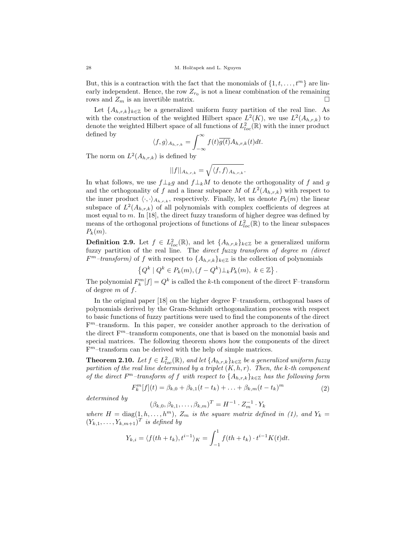But, this is a contraction with the fact that the monomials of  $\{1, t, \ldots, t^m\}$  are linearly independent. Hence, the row  $Z_{r_0}$  is not a linear combination of the remaining rows and  $Z_m$  is an invertible matrix.

Let  ${A_{h,r,k}}_{k\in\mathbb{Z}}$  be a generalized uniform fuzzy partition of the real line. As with the construction of the weighted Hilbert space  $L^2(K)$ , we use  $L^2(A_{h,r,k})$  to denote the weighted Hilbert space of all functions of  $L^2_{loc}(\mathbb{R})$  with the inner product defined by

$$
\langle f, g \rangle_{A_{h,r,k}} = \int_{-\infty}^{\infty} f(t) \overline{g(t)} A_{h,r,k}(t) dt.
$$

The norm on  $L^2(A_{h,r,k})$  is defined by

$$
||f||_{A_{h,r,k}} = \sqrt{\langle f, f \rangle_{A_{h,r,k}}}.
$$

In what follows, we use  $f\perp_k g$  and  $f\perp_k M$  to denote the orthogonality of f and g and the orthogonality of f and a linear subspace M of  $L^2(A_{h,r,k})$  with respect to the inner product  $\langle \cdot, \cdot \rangle_{A_{h,r,k}}$ , respectively. Finally, let us denote  $P_k(m)$  the linear subspace of  $L^2(A_{h,r,k})$  of all polynomials with complex coefficients of degrees at most equal to m. In [18], the direct fuzzy transform of higher degree was defined by means of the orthogonal projections of functions of  $L^2_{loc}(\mathbb{R})$  to the linear subspaces  $P_k(m)$ .

**Definition 2.9.** Let  $f \in L^2_{loc}(\mathbb{R})$ , and let  $\{A_{h,r,k}\}_{k\in\mathbb{Z}}$  be a generalized uniform fuzzy partition of the real line. The direct fuzzy transform of degree m (direct  $F<sup>m</sup>$ -transform) of f with respect to  $\{A_{h,r,k}\}_{k\in\mathbb{Z}}$  is the collection of polynomials

$$
\left\{Q^k \mid Q^k \in P_k(m), (f - Q^k) \perp_k P_k(m), \ k \in \mathbb{Z}\right\}.
$$

The polynomial  $F_k^m[f] = Q^k$  is called the k-th component of the direct F-transform of degree  $m$  of  $f$ .

In the original paper [18] on the higher degree F–transform, orthogonal bases of polynomials derived by the Gram-Schmidt orthogonalization process with respect to basic functions of fuzzy partitions were used to find the components of the direct F <sup>m</sup>–transform. In this paper, we consider another approach to the derivation of the direct  $F<sup>m</sup>$ -transform components, one that is based on the monomial basis and special matrices. The following theorem shows how the components of the direct F <sup>m</sup>–transform can be derived with the help of simple matrices.

**Theorem 2.10.** Let  $f \in L^2_{loc}(\mathbb{R})$ , and let  $\{A_{h,r,k}\}_{k \in \mathbb{Z}}$  be a generalized uniform fuzzy partition of the real line determined by a triplet  $(K, h, r)$ . Then, the k-th component of the direct  $F<sup>m</sup>$ -transform of f with respect to  $\{A_{h,r,k}\}_{k\in\mathbb{Z}}$  has the following form

$$
F_k^m[f](t) = \beta_{k,0} + \beta_{k,1}(t - t_k) + \ldots + \beta_{k,m}(t - t_k)^m
$$
\n(2)

determined by

$$
(\beta_{k,0}, \beta_{k,1}, \dots, \beta_{k,m})^T = H^{-1} \cdot Z_m^{-1} \cdot Y_k
$$

where  $H = \text{diag}(1, h, \ldots, h^m)$ ,  $Z_m$  is the square matrix defined in (1), and  $Y_k =$  $(Y_{k,1},\ldots,Y_{k,m+1})^T$  is defined by

$$
Y_{k,i} = \langle f(th+t_k), t^{i-1} \rangle_K = \int_{-1}^1 f(th+t_k) \cdot t^{i-1} K(t) dt.
$$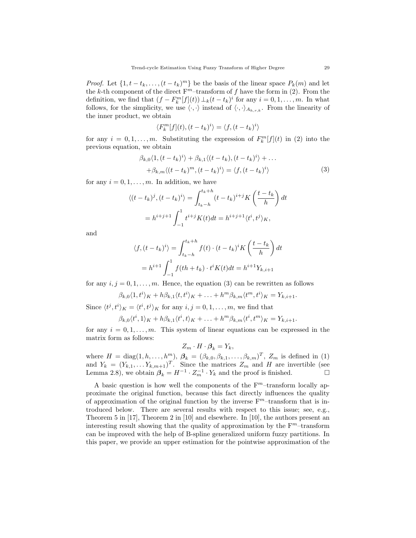*Proof.* Let  $\{1, t - t_k, \ldots, (t - t_k)^m\}$  be the basis of the linear space  $P_k(m)$  and let the k-th component of the direct  $F<sup>m</sup>$ -transform of f have the form in (2). From the definition, we find that  $(f - F_k^m[f](t)) \perp_k (t - t_k)^i$  for any  $i = 0, 1, ..., m$ . In what follows, for the simplicity, we use  $\langle \cdot, \cdot \rangle$  instead of  $\langle \cdot, \cdot \rangle_{A_{h,r,k}}$ . From the linearity of the inner product, we obtain

$$
\langle F_k^m[f](t), (t - t_k)^i \rangle = \langle f, (t - t_k)^i \rangle
$$

for any  $i = 0, 1, ..., m$ . Substituting the expression of  $F_k^m[f](t)$  in (2) into the previous equation, we obtain

$$
\beta_{k,0}\langle 1, (t - t_k)^i \rangle + \beta_{k,1}\langle (t - t_k), (t - t_k)^i \rangle + \dots + \beta_{k,m}\langle (t - t_k)^m, (t - t_k)^i \rangle = \langle f, (t - t_k)^i \rangle
$$
\n(3)

for any  $i = 0, 1, \ldots, m$ . In addition, we have

$$
\langle (t - t_k)^j, (t - t_k)^i \rangle = \int_{t_k - h}^{t_k + h} (t - t_k)^{i + j} K\left(\frac{t - t_k}{h}\right) dt
$$

$$
= h^{i + j + 1} \int_{-1}^1 t^{i + j} K(t) dt = h^{i + j + 1} \langle t^i, t^j \rangle_K,
$$

and

$$
\langle f, (t - t_k)^i \rangle = \int_{t_k - h}^{t_k + h} f(t) \cdot (t - t_k)^i K\left(\frac{t - t_k}{h}\right) dt
$$

$$
= h^{i+1} \int_{-1}^1 f(th + t_k) \cdot t^i K(t) dt = h^{i+1} Y_{k, i+1}
$$

for any  $i, j = 0, 1, \ldots, m$ . Hence, the equation (3) can be rewritten as follows

$$
\beta_{k,0}\langle 1,t^i\rangle_K+h\beta_{k,1}\langle t,t^i\rangle_K+\ldots+h^m\beta_{k,m}\langle t^m,t^i\rangle_K=Y_{k,i+1}.
$$

Since  $\langle t^j, t^i \rangle_K = \langle t^i, t^j \rangle_K$  for any  $i, j = 0, 1, \ldots, m$ , we find that

$$
\beta_{k,0}\langle t^i,1\rangle_K+h\beta_{k,1}\langle t^i,t\rangle_K+\ldots+h^m\beta_{k,m}\langle t^i,t^m\rangle_K=Y_{k,i+1}.
$$

for any  $i = 0, 1, \ldots, m$ . This system of linear equations can be expressed in the matrix form as follows:

$$
Z_m \cdot H \cdot \boldsymbol{\beta}_k = Y_k,
$$

where  $H = \text{diag}(1, h, \ldots, h^m)$ ,  $\beta_k = (\beta_{k,0}, \beta_{k,1}, \ldots, \beta_{k,m})^T$ ,  $Z_m$  is defined in (1) and  $Y_k = (Y_{k,1}, \ldots Y_{k,m+1})^T$ . Since the matrices  $Z_m$  and H are invertible (see Lemma 2.8), we obtain  $\beta_k = H^{-1} \cdot Z_m^{-1} \cdot Y_k$  and the proof is finished.

A basic question is how well the components of the  $F<sup>m</sup>$ -transform locally approximate the original function, because this fact directly influences the quality of approximation of the original function by the inverse  $F<sup>m</sup>$ -transform that is introduced below. There are several results with respect to this issue; see, e.g., Theorem 5 in [17], Theorem 2 in [10] and elsewhere. In [10], the authors present an interesting result showing that the quality of approximation by the  $F<sup>m</sup>$ -transform can be improved with the help of B-spline generalized uniform fuzzy partitions. In this paper, we provide an upper estimation for the pointwise approximation of the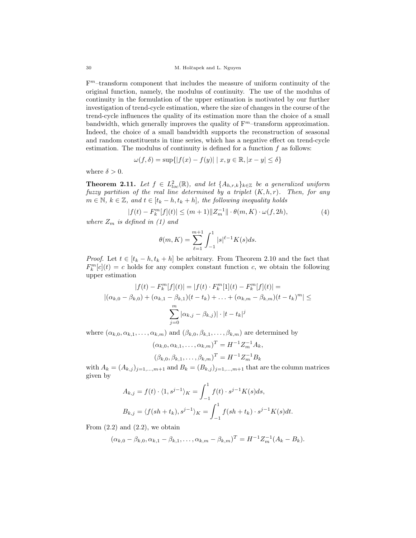F <sup>m</sup>–transform component that includes the measure of uniform continuity of the original function, namely, the modulus of continuity. The use of the modulus of continuity in the formulation of the upper estimation is motivated by our further investigation of trend-cycle estimation, where the size of changes in the course of the trend-cycle influences the quality of its estimation more than the choice of a small bandwidth, which generally improves the quality of  $F<sup>m</sup>$ -transform approximation. Indeed, the choice of a small bandwidth supports the reconstruction of seasonal and random constituents in time series, which has a negative effect on trend-cycle estimation. The modulus of continuity is defined for a function  $f$  as follows:

$$
\omega(f,\delta)=\sup\{|f(x)-f(y)|\mid x,y\in\mathbb{R},|x-y|\leq \delta\}
$$

where  $\delta > 0$ .

**Theorem 2.11.** Let  $f \in L^2_{loc}(\mathbb{R})$ , and let  $\{A_{h,r,k}\}_{k\in\mathbb{Z}}$  be a generalized uniform fuzzy partition of the real line determined by a triplet  $(K, h, r)$ . Then, for any  $m \in \mathbb{N}, k \in \mathbb{Z}, \text{ and } t \in [t_k - h, t_k + h], \text{ the following inequality holds}$ 

$$
|f(t) - F_k^m[f](t)| \le (m+1) \|Z_m^{-1}\| \cdot \theta(m, K) \cdot \omega(f, 2h),
$$
\n(4)

where  $Z_m$  is defined in (1) and

$$
\theta(m,K) = \sum_{\ell=1}^{m+1} \int_{-1}^{1} |s|^{\ell-1} K(s) ds.
$$

*Proof.* Let  $t \in [t_k - h, t_k + h]$  be arbitrary. From Theorem 2.10 and the fact that  $F_k^m[c](t) = c$  holds for any complex constant function c, we obtain the following upper estimation

$$
|f(t) - F_k^m[f](t)| = |f(t) \cdot F_k^m[1](t) - F_k^m[f](t)| =
$$
  

$$
|(\alpha_{k,0} - \beta_{k,0}) + (\alpha_{k,1} - \beta_{k,1})(t - t_k) + \dots + (\alpha_{k,m} - \beta_{k,m})(t - t_k)^m| \le
$$
  

$$
\sum_{j=0}^m |\alpha_{k,j} - \beta_{k,j})| \cdot |t - t_k|^j
$$

where  $(\alpha_{k,0}, \alpha_{k,1}, \ldots, \alpha_{k,m})$  and  $(\beta_{k,0}, \beta_{k,1}, \ldots, \beta_{k,m})$  are determined by

$$
(\alpha_{k,0}, \alpha_{k,1}, \dots, \alpha_{k,m})^T = H^{-1} Z_m^{-1} A_k,
$$
  

$$
(\beta_{k,0}, \beta_{k,1}, \dots, \beta_{k,m})^T = H^{-1} Z_m^{-1} B_k
$$

with  $A_k = (A_{k,j})_{j=1,\dots,m+1}$  and  $B_k = (B_{k,j})_{j=1,\dots,m+1}$  that are the column matrices given by

$$
A_{k,j} = f(t) \cdot \langle 1, s^{j-1} \rangle_K = \int_{-1}^1 f(t) \cdot s^{j-1} K(s) ds,
$$
  

$$
B_{k,j} = \langle f(sh + t_k), s^{j-1} \rangle_K = \int_{-1}^1 f(sh + t_k) \cdot s^{j-1} K(s) dt.
$$

From  $(2.2)$  and  $(2.2)$ , we obtain

$$
(\alpha_{k,0} - \beta_{k,0}, \alpha_{k,1} - \beta_{k,1}, \ldots, \alpha_{k,m} - \beta_{k,m})^T = H^{-1} Z_m^{-1} (A_k - B_k).
$$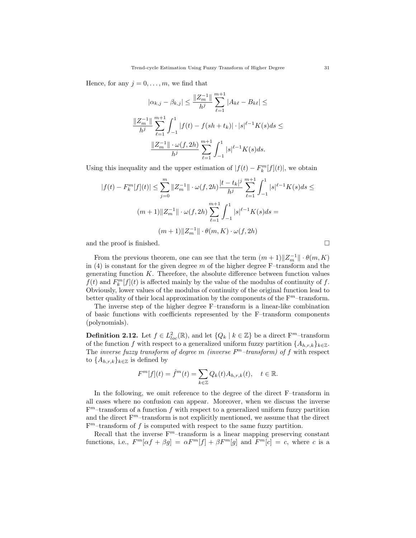Hence, for any  $j = 0, \ldots, m$ , we find that

$$
|\alpha_{k,j} - \beta_{k,j}| \le \frac{\|Z_m^{-1}\|}{h^j} \sum_{\ell=1}^{m+1} |A_{k\ell} - B_{k\ell}| \le
$$
  

$$
\frac{\|Z_m^{-1}\|}{h^j} \sum_{\ell=1}^{m+1} \int_{-1}^1 |f(t) - f(sh + t_k)| \cdot |s|^{\ell-1} K(s) ds \le
$$
  

$$
\frac{\|Z_m^{-1}\| \cdot \omega(f, 2h)}{h^j} \sum_{\ell=1}^{m+1} \int_{-1}^1 |s|^{\ell-1} K(s) ds.
$$

Using this inequality and the upper estimation of  $|f(t) - F_k^m[f](t)|$ , we obtain

$$
|f(t) - F_k^m[f](t)| \le \sum_{j=0}^m \|Z_m^{-1}\| \cdot \omega(f, 2h) \frac{|t - t_k|^j}{h^j} \sum_{\ell=1}^{m+1} \int_{-1}^1 |s|^{\ell-1} K(s) ds \le
$$
  

$$
(m+1) \|Z_m^{-1}\| \cdot \omega(f, 2h) \sum_{\ell=1}^{m+1} \int_{-1}^1 |s|^{\ell-1} K(s) ds =
$$
  

$$
(m+1) \|Z_m^{-1}\| \cdot \theta(m, K) \cdot \omega(f, 2h)
$$

and the proof is finished.  $\square$ 

From the previous theorem, one can see that the term  $(m+1)$  $||Z_m^{-1}|| \cdot \theta(m,K)$ in  $(4)$  is constant for the given degree m of the higher degree F-transform and the generating function  $K$ . Therefore, the absolute difference between function values  $f(t)$  and  $F_k^m[f](t)$  is affected mainly by the value of the modulus of continuity of f. Obviously, lower values of the modulus of continuity of the original function lead to better quality of their local approximation by the components of the  $F<sup>m</sup>$ -transform.

The inverse step of the higher degree F–transform is a linear-like combination of basic functions with coefficients represented by the F–transform components (polynomials).

**Definition 2.12.** Let  $f \in L^2_{loc}(\mathbb{R})$ , and let  $\{Q_k \mid k \in \mathbb{Z}\}$  be a direct  $F^m$ -transform of the function f with respect to a generalized uniform fuzzy partition  $\{A_{h,r,k}\}_{k\in\mathbb{Z}}$ . The inverse fuzzy transform of degree m (inverse  $F<sup>m</sup>$ -transform) of f with respect to  $\{A_{h,r,k}\}_{k\in\mathbb{Z}}$  is defined by

$$
F^m[f](t) = \hat{f}^m(t) = \sum_{k \in \mathbb{Z}} Q_k(t) A_{h,r,k}(t), \quad t \in \mathbb{R}.
$$

In the following, we omit reference to the degree of the direct F–transform in all cases where no confusion can appear. Moreover, when we discuss the inverse  $F<sup>m</sup>$ -transform of a function f with respect to a generalized uniform fuzzy partition and the direct  $F<sup>m</sup>$ -transform is not explicitly mentioned, we assume that the direct  $F<sup>m</sup>$ -transform of f is computed with respect to the same fuzzy partition.

Recall that the inverse  $F<sup>m</sup>$ -transform is a linear mapping preserving constant functions, i.e.,  $F^m[\alpha f + \beta g] = \alpha F^m[f] + \beta F^m[g]$  and  $F^m[c] = c$ , where c is a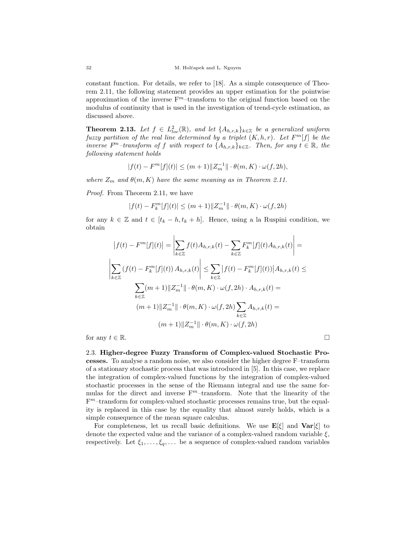constant function. For details, we refer to [18]. As a simple consequence of Theorem 2.11, the following statement provides an upper estimation for the pointwise approximation of the inverse  $F<sup>m</sup>$ -transform to the original function based on the modulus of continuity that is used in the investigation of trend-cycle estimation, as discussed above.

**Theorem 2.13.** Let  $f \in L^2_{loc}(\mathbb{R})$ , and let  $\{A_{h,r,k}\}_{k\in\mathbb{Z}}$  be a generalized uniform fuzzy partition of the real line determined by a triplet  $(K, h, r)$ . Let  $F^m[f]$  be the inverse  $F^m$ -transform of f with respect to  $\{A_{h,r,k}\}_{k\in\mathbb{Z}}$ . Then, for any  $t \in \mathbb{R}$ , the following statement holds

$$
|f(t) - F^m[f](t)| \le (m+1) \|Z_m^{-1}\| \cdot \theta(m, K) \cdot \omega(f, 2h),
$$

where  $Z_m$  and  $\theta(m, K)$  have the same meaning as in Theorem 2.11.

Proof. From Theorem 2.11, we have

$$
|f(t) - F_k^m[f](t)| \le (m+1) \|Z_m^{-1}\| \cdot \theta(m, K) \cdot \omega(f, 2h)
$$

for any  $k \in \mathbb{Z}$  and  $t \in [t_k - h, t_k + h]$ . Hence, using a la Ruspini condition, we obtain

$$
|f(t) - F^m[f](t)| = \left| \sum_{k \in \mathbb{Z}} f(t) A_{h,r,k}(t) - \sum_{k \in \mathbb{Z}} F_k^m[f](t) A_{h,r,k}(t) \right| =
$$
  

$$
\left| \sum_{k \in \mathbb{Z}} (f(t) - F_k^m[f](t)) A_{h,r,k}(t) \right| \le \sum_{k \in \mathbb{Z}} |f(t) - F_k^m[f](t)| |A_{h,r,k}(t) \le
$$
  

$$
\sum_{k \in \mathbb{Z}} (m+1) \|Z_m^{-1}\| \cdot \theta(m, K) \cdot \omega(f, 2h) \cdot A_{h,r,k}(t) =
$$
  

$$
(m+1) \|Z_m^{-1}\| \cdot \theta(m, K) \cdot \omega(f, 2h) \sum_{k \in \mathbb{Z}} A_{h,r,k}(t) =
$$
  

$$
(m+1) \|Z_m^{-1}\| \cdot \theta(m, K) \cdot \omega(f, 2h)
$$

for any  $t \in \mathbb{R}$ .

2.3. Higher-degree Fuzzy Transform of Complex-valued Stochastic Processes. To analyse a random noise, we also consider the higher degree F–transform of a stationary stochastic process that was introduced in [5]. In this case, we replace the integration of complex-valued functions by the integration of complex-valued stochastic processes in the sense of the Riemann integral and use the same formulas for the direct and inverse  $F<sup>m</sup>$ -transform. Note that the linearity of the F <sup>m</sup>–transform for complex-valued stochastic processes remains true, but the equality is replaced in this case by the equality that almost surely holds, which is a simple consequence of the mean square calculus.

For completeness, let us recall basic definitions. We use  $\mathbf{E}[\xi]$  and  $\mathbf{Var}[\xi]$  to denote the expected value and the variance of a complex-valued random variable  $\xi$ , respectively. Let  $\xi_1, \ldots, \xi_q, \ldots$  be a sequence of complex-valued random variables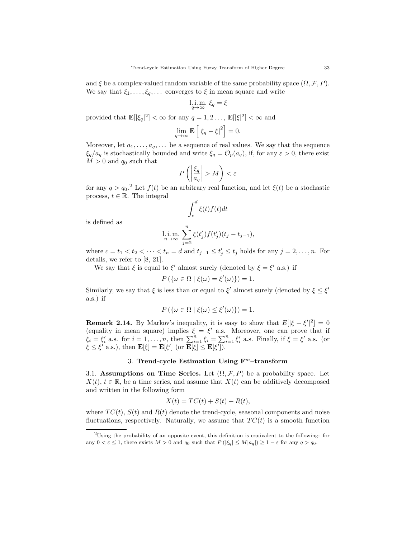and  $\xi$  be a complex-valued random variable of the same probability space  $(\Omega, \mathcal{F}, P)$ . We say that  $\xi_1, \ldots, \xi_q, \ldots$  converges to  $\xi$  in mean square and write

l. i. m. 
$$
\xi_q = \xi
$$

provided that  $\mathbf{E}[\xi_q|^2] < \infty$  for any  $q = 1, 2, \ldots$ ,  $\mathbf{E}[\xi|^2] < \infty$  and

$$
\lim_{q \to \infty} \mathbf{E}\left[ \left| \xi_q - \xi \right|^2 \right] = 0.
$$

Moreover, let  $a_1, \ldots, a_q, \ldots$  be a sequence of real values. We say that the sequence  $\xi_q/a_q$  is stochastically bounded and write  $\xi_q = \mathcal{O}_p(a_q)$ , if, for any  $\varepsilon > 0$ , there exist  $M > 0$  and  $q_0$  such that

$$
P\left(\left|\frac{\xi_q}{a_q}\right| > M\right) < \varepsilon
$$

for any  $q > q_0$ <sup>2</sup>. Let  $f(t)$  be an arbitrary real function, and let  $\xi(t)$  be a stochastic process,  $t \in \mathbb{R}$ . The integral

$$
\int_c^d \xi(t) f(t) dt
$$

is defined as

l.i.m. 
$$
\sum_{j=2}^{n} \xi(t'_j) f(t'_j) (t_j - t_{j-1}),
$$

where  $c = t_1 < t_2 < \cdots < t_n = d$  and  $t_{j-1} \leq t'_j \leq t_j$  holds for any  $j = 2, \ldots, n$ . For details, we refer to [8, 21].

We say that  $\xi$  is equal to  $\xi'$  almost surely (denoted by  $\xi = \xi'$  a.s.) if

$$
P(\{\omega \in \Omega \mid \xi(\omega) = \xi'(\omega)\}) = 1.
$$

Similarly, we say that  $\xi$  is less than or equal to  $\xi'$  almost surely (denoted by  $\xi \leq \xi'$ ) a.s.) if

$$
P(\{\omega \in \Omega \mid \xi(\omega) \leq \xi'(\omega)\}) = 1.
$$

**Remark 2.14.** By Markov's inequality, it is easy to show that  $E[|\xi - \xi'|^2] = 0$ (equality in mean square) implies  $\xi = \xi'$  a.s. Moreover, one can prove that if  $\xi_i = \xi'_i$  a.s. for  $i = 1, ..., n$ , then  $\sum_{i=1}^n \xi_i = \sum_{i=1}^n \xi'_i$  a.s. Finally, if  $\xi = \xi'$  a.s. (or  $\xi \leq \xi'$  a.s.), then  $\mathbf{E}[\xi] = \mathbf{E}[\xi']$  (or  $\overline{\mathbf{E}[\xi]} \leq \mathbf{E}[\xi']$ ).

## 3. Trend-cycle Estimation Using  $F<sup>m</sup>$ -transform

3.1. Assumptions on Time Series. Let  $(\Omega, \mathcal{F}, P)$  be a probability space. Let  $X(t), t \in \mathbb{R}$ , be a time series, and assume that  $X(t)$  can be additively decomposed and written in the following form

$$
X(t) = TC(t) + S(t) + R(t),
$$

where  $TC(t)$ ,  $S(t)$  and  $R(t)$  denote the trend-cycle, seasonal components and noise fluctuations, respectively. Naturally, we assume that  $TC(t)$  is a smooth function

<sup>2</sup>Using the probability of an opposite event, this definition is equivalent to the following: for any  $0 < \varepsilon \le 1$ , there exists  $M > 0$  and  $q_0$  such that  $P(|\xi_q| \le M|a_q|) \ge 1 - \varepsilon$  for any  $q > q_0$ .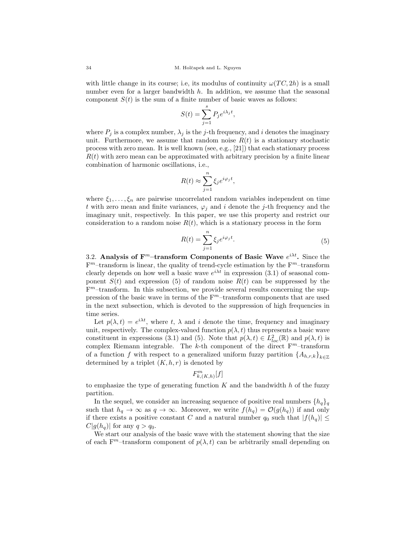with little change in its course; i.e, its modulus of continuity  $\omega(TC, 2h)$  is a small number even for a larger bandwidth  $h$ . In addition, we assume that the seasonal component  $S(t)$  is the sum of a finite number of basic waves as follows:

$$
S(t) = \sum_{j=1}^{s} P_j e^{i\lambda_j t},
$$

where  $P_j$  is a complex number,  $\lambda_j$  is the j-th frequency, and i denotes the imaginary unit. Furthermore, we assume that random noise  $R(t)$  is a stationary stochastic process with zero mean. It is well known (see, e.g., [21]) that each stationary process  $R(t)$  with zero mean can be approximated with arbitrary precision by a finite linear combination of harmonic oscillations, i.e.,

$$
R(t) \approx \sum_{j=1}^{n} \xi_j e^{i\varphi_j t},
$$

where  $\xi_1, \ldots, \xi_n$  are pairwise uncorrelated random variables independent on time t with zero mean and finite variances,  $\varphi_i$  and i denote the j-th frequency and the imaginary unit, respectively. In this paper, we use this property and restrict our consideration to a random noise  $R(t)$ , which is a stationary process in the form

$$
R(t) = \sum_{j=1}^{n} \xi_j e^{i\varphi_j t}.
$$
\n(5)

3.2. Analysis of  $\mathbf{F}^m$ -transform Components of Basic Wave  $e^{i\lambda t}$ . Since the  $F<sup>m</sup>$ -transform is linear, the quality of trend-cycle estimation by the  $F<sup>m</sup>$ -transform clearly depends on how well a basic wave  $e^{i\lambda t}$  in expression (3.1) of seasonal component  $S(t)$  and expression (5) of random noise  $R(t)$  can be suppressed by the  $F<sup>m</sup>$ -transform. In this subsection, we provide several results concerning the suppression of the basic wave in terms of the  $F<sup>m</sup>$ -transform components that are used in the next subsection, which is devoted to the suppression of high frequencies in time series.

Let  $p(\lambda, t) = e^{i\lambda t}$ , where t,  $\lambda$  and i denote the time, frequency and imaginary unit, respectively. The complex-valued function  $p(\lambda, t)$  thus represents a basic wave constituent in expressions (3.1) and (5). Note that  $p(\lambda, t) \in L^2_{loc}(\mathbb{R})$  and  $p(\lambda, t)$  is complex Riemann integrable. The k-th component of the direct  $F<sup>m</sup>$ -transform of a function f with respect to a generalized uniform fuzzy partition  $\{A_{h,r,k}\}_{k\in\mathbb{Z}}$ determined by a triplet  $(K, h, r)$  is denoted by

$$
F_{k,(K,h)}^m[f]
$$

to emphasize the type of generating function  $K$  and the bandwidth  $h$  of the fuzzy partition.

In the sequel, we consider an increasing sequence of positive real numbers  $\{h_q\}_q$ such that  $h_q \to \infty$  as  $q \to \infty$ . Moreover, we write  $f(h_q) = \mathcal{O}(g(h_q))$  if and only if there exists a positive constant C and a natural number  $q_0$  such that  $|f(h_q)| \leq$  $C|g(h_q)|$  for any  $q > q_0$ .

We start our analysis of the basic wave with the statement showing that the size of each  $F^m$ -transform component of  $p(\lambda, t)$  can be arbitrarily small depending on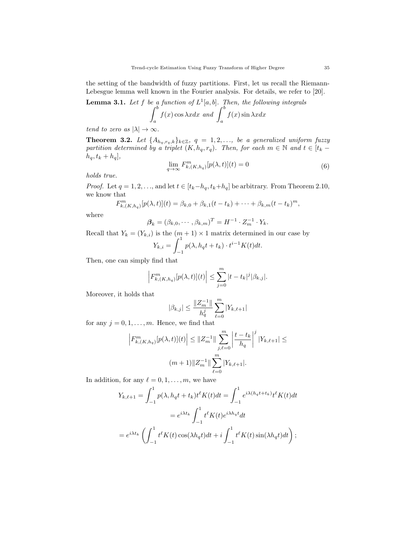the setting of the bandwidth of fuzzy partitions. First, let us recall the Riemann-Lebesgue lemma well known in the Fourier analysis. For details, we refer to [20].

**Lemma 3.1.** Let f be a function of 
$$
L^1[a, b]
$$
. Then, the following integrals 
$$
\int_a^b f(x) \cos \lambda x dx \text{ and } \int_a^b f(x) \sin \lambda x dx
$$

tend to zero as  $|\lambda| \to \infty$ .

**Theorem 3.2.** Let  $\{A_{h_q,r_q,k}\}_{k\in\mathbb{Z}}$ ,  $q = 1, 2, \ldots$ , be a generalized uniform fuzzy partition determined by a triplet  $(K, h_q, r_q)$ . Then, for each  $m \in \mathbb{N}$  and  $t \in [t_k$  $h_q, t_k + h_q],$ 

$$
\lim_{q \to \infty} F_{k,(K,h_q)}^m[p(\lambda, t)](t) = 0
$$
\n(6)

holds true.

*Proof.* Let  $q = 1, 2, \ldots$ , and let  $t \in [t_k-h_q, t_k+h_q]$  be arbitrary. From Theorem 2.10, we know that

$$
F_{k,(K,h_q)}^m[p(\lambda,t)](t) = \beta_{k,0} + \beta_{k,1}(t-t_k) + \cdots + \beta_{k,m}(t-t_k)^m,
$$

where

$$
\beta_k = (\beta_{k,0}, \cdots, \beta_{k,m})^T = H^{-1} \cdot Z_m^{-1} \cdot Y_k.
$$

Recall that  $Y_k = (Y_{k,i})$  is the  $(m+1) \times 1$  matrix determined in our case by

$$
Y_{k,i} = \int_{-1}^{1} p(\lambda, h_q t + t_k) \cdot t^{i-1} K(t) dt.
$$

Then, one can simply find that

$$
\left| F_{k,(K,h_q)}^m[p(\lambda,t)](t) \right| \leq \sum_{j=0}^m |t-t_k|^j |\beta_{k,j}|.
$$

Moreover, it holds that

$$
|\beta_{k,j}| \leq \frac{\|Z_m^{-1}\|}{h_q^j} \sum_{\ell=0}^m |Y_{k,\ell+1}|
$$

for any  $j = 0, 1, \ldots, m$ . Hence, we find that

$$
\left|F_{k,(K,h_q)}^m[p(\lambda,t)](t)\right| \leq \|Z_m^{-1}\| \sum_{j,\ell=0}^m \left|\frac{t-t_k}{h_q}\right|^j |Y_{k,\ell+1}| \leq
$$
  

$$
(m+1) \|Z_m^{-1}\| \sum_{\ell=0}^m |Y_{k,\ell+1}|.
$$

In addition, for any  $\ell = 0, 1, \ldots, m$ , we have

$$
Y_{k,\ell+1} = \int_{-1}^{1} p(\lambda, h_q t + t_k) t^{\ell} K(t) dt = \int_{-1}^{1} e^{i\lambda (h_q t + t_k)} t^{\ell} K(t) dt
$$
  

$$
= e^{i\lambda t_k} \int_{-1}^{1} t^{\ell} K(t) e^{i\lambda h_q t} dt
$$
  

$$
= e^{i\lambda t_k} \left( \int_{-1}^{1} t^{\ell} K(t) \cos(\lambda h_q t) dt + i \int_{-1}^{1} t^{\ell} K(t) \sin(\lambda h_q t) dt \right);
$$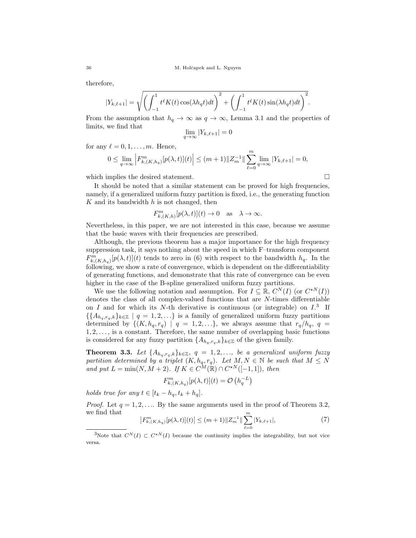therefore,

$$
|Y_{k,\ell+1}| = \sqrt{\left(\int_{-1}^1 t^{\ell} K(t) \cos(\lambda h_q t) dt\right)^2 + \left(\int_{-1}^1 t^{\ell} K(t) \sin(\lambda h_q t) dt\right)^2}.
$$

From the assumption that  $h_q \to \infty$  as  $q \to \infty$ , Lemma 3.1 and the properties of limits, we find that

$$
\lim_{q \to \infty} |Y_{k,\ell+1}| = 0
$$

for any  $\ell = 0, 1, \ldots, m$ . Hence,

$$
0 \leq \lim_{q \to \infty} \left| F_{k,(K,h_q)}^m[p(\lambda,t)](t) \right| \leq (m+1) \|Z_m^{-1}\| \sum_{\ell=0}^m \lim_{q \to \infty} |Y_{k,\ell+1}| = 0,
$$

which implies the desired statement.

It should be noted that a similar statement can be proved for high frequencies, namely, if a generalized uniform fuzzy partition is fixed, i.e., the generating function  $K$  and its bandwidth  $h$  is not changed, then

$$
F_{k,(K,h)}^m[p(\lambda,t)](t) \to 0 \quad \text{as} \quad \lambda \to \infty.
$$

Nevertheless, in this paper, we are not interested in this case, because we assume that the basic waves with their frequencies are prescribed.

Although, the previous theorem has a major importance for the high frequency suppression task, it says nothing about the speed in which F–transform component  $F_{k,(K,h_q)}^m[p(\lambda,t)](t)$  tends to zero in (6) with respect to the bandwidth  $h_q$ . In the following, we show a rate of convergence, which is dependent on the differentiability of generating functions, and demonstrate that this rate of convergence can be even higher in the case of the B-spline generalized uniform fuzzy partitions.

We use the following notation and assumption. For  $I \subseteq \mathbb{R}$ ,  $C^N(I)$  (or  $C^{*N}(I)$ ) denotes the class of all complex-valued functions that are N-times differentiable on I and for which its N-th derivative is continuous (or integrable) on  $I^3$ . If  $\{\{A_{h_q,r_q,k}\}_{k\in\mathbb{Z}} \mid q=1,2,\ldots\}$  is a family of generalized uniform fuzzy partitions determined by  $\{(K, h_q, r_q) \mid q = 1, 2, \ldots\}$ , we always assume that  $r_q/h_q$ ,  $q =$  $1, 2, \ldots$ , is a constant. Therefore, the same number of overlapping basic functions is considered for any fuzzy partition  $\{A_{h_q,r_q,k}\}_{k\in\mathbb{Z}}$  of the given family.

**Theorem 3.3.** Let  $\{A_{h_q,r_q,k}\}_{k\in\mathbb{Z}}$ ,  $q = 1, 2, \ldots$ , be a generalized uniform fuzzy partition determined by a triplet  $(K, h_q, r_q)$ . Let  $M, N \in \mathbb{N}$  be such that  $M \leq N$ and put  $L = \min(N, M + 2)$ . If  $K \in C^{\tilde{M}}(\mathbb{R}) \cap C^{\star N}([-1, 1])$ , then

$$
F_{k,(K,h_q)}^m[p(\lambda,t)](t) = \mathcal{O}\left(h_q^{-L}\right)
$$

holds true for any  $t \in [t_k - h_q, t_k + h_q]$ .

*Proof.* Let  $q = 1, 2, \ldots$  By the same arguments used in the proof of Theorem 3.2, we find that  $\overline{m}$ 

$$
\left|F_{k,(K,h_q)}^m[p(\lambda,t)](t)\right| \le (m+1) \|Z_m^{-1}\| \sum_{\ell=0} |Y_{k,\ell+1}|,\tag{7}
$$

<sup>&</sup>lt;sup>3</sup>Note that  $C^{N}(I) \subset C^{\star N}(I)$  because the continuity implies the integrability, but not vice versa.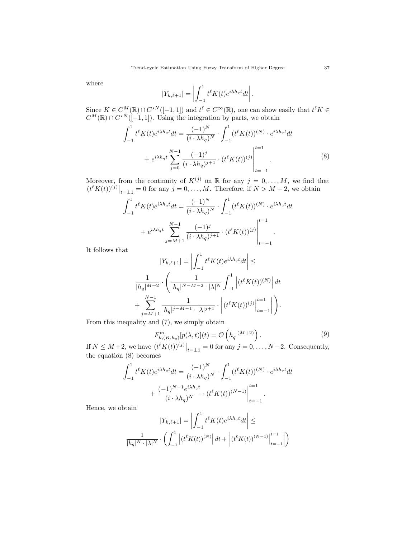where

$$
|Y_{k,\ell+1}| = \left| \int_{-1}^1 t^{\ell} K(t) e^{i\lambda h_q t} dt \right|.
$$

Since  $K \in C^M(\mathbb{R}) \cap C^{*N}([-1,1])$  and  $t^{\ell} \in C^{\infty}(\mathbb{R})$ , one can show easily that  $t^{\ell} K \in C^{\infty}(\mathbb{R})$  $C^M(\mathbb{R}) \cap C^{*N}([-1,1])$ . Using the integration by parts, we obtain

$$
\int_{-1}^{1} t^{\ell} K(t) e^{i\lambda h_q t} dt = \frac{(-1)^N}{(i \cdot \lambda h_q)^N} \cdot \int_{-1}^{1} (t^{\ell} K(t))^{(N)} \cdot e^{i\lambda h_q t} dt \n+ e^{i\lambda h_q t} \sum_{j=0}^{N-1} \frac{(-1)^j}{(i \cdot \lambda h_q)^{j+1}} \cdot (t^{\ell} K(t))^{(j)} \Big|_{t=-1}^{t=1}.
$$
\n(8)

Moreover, from the continuity of  $K^{(j)}$  on R for any  $j = 0, \ldots, M$ , we find that  $(t^{\ell} K(t))^{(j)}\big|_{t=\pm 1} = 0$  for any  $j = 0, \ldots, M$ . Therefore, if  $N > M + 2$ , we obtain

$$
\int_{-1}^{1} t^{\ell} K(t) e^{i\lambda h_q t} dt = \frac{(-1)^N}{(i \cdot \lambda h_q)^N} \cdot \int_{-1}^{1} (t^{\ell} K(t))^{(N)} \cdot e^{i\lambda h_q t} dt + e^{i\lambda h_q t} \sum_{j=M+1}^{N-1} \frac{(-1)^j}{(i \cdot \lambda h_q)^{j+1}} \cdot (t^{\ell} K(t))^{(j)} \Big|_{t=-1}^{t=1}.
$$

It follows that

$$
|Y_{k,\ell+1}| = \left| \int_{-1}^{1} t^{\ell} K(t) e^{i\lambda h_q t} dt \right| \le
$$
  

$$
\frac{1}{|h_q|^{M+2}} \cdot \left( \frac{1}{|h_q|^{N-M-2} \cdot |\lambda|^N} \int_{-1}^{1} \left| (t^{\ell} K(t))^{(N)} \right| dt + \sum_{j=M+1}^{N-1} \frac{1}{|h_q|^{j-M-1} \cdot |\lambda|^{j+1}} \cdot \left| (t^{\ell} K(t))^{(j)} \right|_{t=-1}^{t=1} \right| \right).
$$

From this inequality and (7), we simply obtain

$$
F_{k,(K,h_q)}^m[p(\lambda,t)](t) = \mathcal{O}\left(h_q^{-(M+2)}\right). \tag{9}
$$

 $\mathbf{r}$ 

If  $N \leq M+2$ , we have  $(t^{\ell}K(t))^{(j)}\big|_{t=\pm 1} = 0$  for any  $j = 0, \ldots, N-2$ . Consequently, the equation (8) becomes

$$
\int_{-1}^{1} t^{\ell} K(t) e^{i\lambda h_q t} dt = \frac{(-1)^N}{(i \cdot \lambda h_q)^N} \cdot \int_{-1}^{1} (t^{\ell} K(t))^{(N)} \cdot e^{i\lambda h_q t} dt + \frac{(-1)^{N-1} e^{i\lambda h_q t}}{(i \cdot \lambda h_q)^N} \cdot (t^{\ell} K(t))^{(N-1)} \Big|_{t=-1}^{t=1}.
$$

Hence, we obtain

$$
|Y_{k,\ell+1}| = \left| \int_{-1}^{1} t^{\ell} K(t) e^{i\lambda h_q t} dt \right| \le
$$

$$
\frac{1}{|h_q|^N \cdot |\lambda|^N} \cdot \left( \int_{-1}^{1} \left| (t^{\ell} K(t))^{(N)} \right| dt + \left| (t^{\ell} K(t))^{(N-1)} \right|_{t=-1}^{t=1} \right| \right)
$$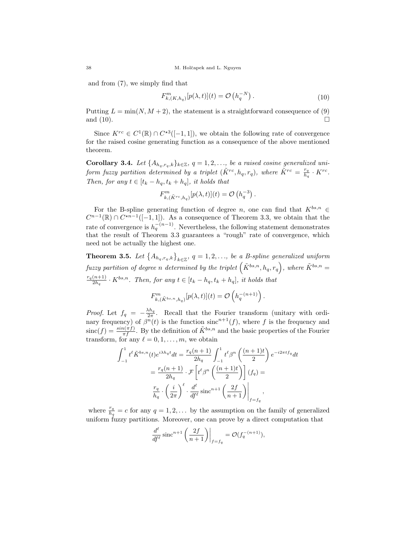and from (7), we simply find that

$$
F_{k,(K,h_q)}^m[p(\lambda,t)](t) = \mathcal{O}\left(h_q^{-N}\right). \tag{10}
$$

Putting  $L = \min(N, M + 2)$ , the statement is a straightforward consequence of (9) and  $(10)$ .

Since  $K^{rc} \in C^1(\mathbb{R}) \cap C^{*3}([-1,1])$ , we obtain the following rate of convergence for the raised cosine generating function as a consequence of the above mentioned theorem.

**Corollary 3.4.** Let  $\{A_{h_q,r_q,k}\}_{k\in\mathbb{Z}}$ ,  $q=1,2,\ldots$ , be a raised cosine generalized uniform fuzzy partition determined by a triplet  $(\tilde{K}^{rc}, h_q, r_q)$ , where  $\tilde{K}^{rc} = \frac{r_q}{h_q}$  $\frac{r_q}{h_q} \cdot K^{rc}$ . Then, for any  $t \in [t_k - h_q, t_k + h_q]$ , it holds that

$$
F_{k,(\tilde{K}^{rc},h_q)}^m[p(\lambda,t)](t) = \mathcal{O}\left(h_q^{-3}\right).
$$

For the B-spline generating function of degree n, one can find that  $K^{bs,n} \in$  $C^{n-1}(\mathbb{R}) \cap C^{*n-1}([-1,1])$ . As a consequence of Theorem 3.3, we obtain that the rate of convergence is  $h_q^{-(n-1)}$ . Nevertheless, the following statement demonstrates that the result of Theorem 3.3 guarantees a "rough" rate of convergence, which need not be actually the highest one.

**Theorem 3.5.** Let  $\{A_{h_q,r_q,k}\}_{k\in\mathbb{Z}}$ ,  $q=1,2,\ldots$ , be a B-spline generalized uniform fuzzy partition of degree n determined by the triplet  $(\tilde{K}^{bs,n}, h_q, r_q)$ , where  $\tilde{K}^{bs,n} =$  $r_q(n+1)$  $\frac{(n+1)}{2h_q} \cdot K^{bs,n}$ . Then, for any  $t \in [t_k - h_q, t_k + h_q]$ , it holds that

$$
F_{k,(\tilde{K}^{bs,n},h_q)}^m[p(\lambda,t)](t) = \mathcal{O}\left(h_q^{-(n+1)}\right).
$$

*Proof.* Let  $f_q = -\frac{\lambda h_q}{2\pi}$ . Recall that the Fourier transform (unitary with ordinary frequency) of  $\beta^{n}(t)$  is the function sinc<sup>n+1</sup>(f), where f is the frequency and  $\text{sinc}(f) = \frac{\sin(\pi f)}{\pi f}$ . By the definition of  $\tilde{K}^{bs,n}$  and the basic properties of the Fourier transform, for any  $\ell = 0, 1, \ldots, m$ , we obtain

$$
\int_{-1}^{1} t^{\ell} \tilde{K}^{bs,n}(t) e^{i\lambda h_q t} dt = \frac{r_q(n+1)}{2h_q} \int_{-1}^{1} t^{\ell} \beta^n \left(\frac{(n+1)t}{2}\right) e^{-i2\pi t f_q} dt
$$

$$
= \frac{r_q(n+1)}{2h_q} \cdot \mathcal{F}\left[t^{\ell} \beta^n \left(\frac{(n+1)t}{2}\right)\right] (f_q) =
$$

$$
\frac{r_q}{h_q} \cdot \left(\frac{i}{2\pi}\right)^{\ell} \cdot \frac{d^{\ell}}{df^{\ell}} \operatorname{sinc}^{n+1} \left(\frac{2f}{n+1}\right)\Big|_{f=f_q},
$$

where  $\frac{r_q}{h_q} = c$  for any  $q = 1, 2, \ldots$  by the assumption on the family of generalized uniform fuzzy partitions. Moreover, one can prove by a direct computation that

$$
\frac{d^{\ell}}{df^{\ell}} \operatorname{sinc}^{n+1}\left(\frac{2f}{n+1}\right)\Big|_{f=f_q} = \mathcal{O}(f_q^{-(n+1)}),
$$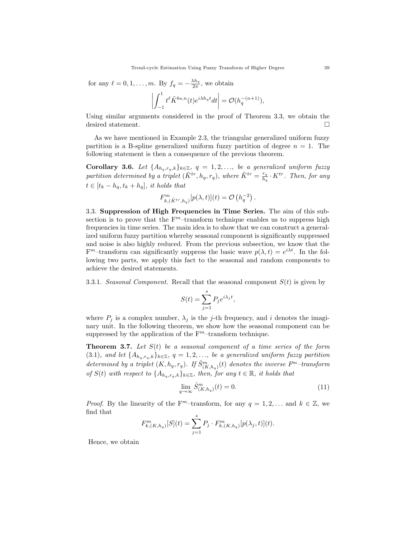for any  $\ell = 0, 1, \ldots, m$ . By  $f_q = -\frac{\lambda h_q}{2\pi}$ , we obtain

$$
\left|\int_{-1}^1 t^\ell \tilde{K}^{bs,n}(t) e^{i\lambda h_q t} dt\right| = \mathcal{O}(h_q^{-(n+1)}),
$$

Using similar arguments considered in the proof of Theorem 3.3, we obtain the desired statement.

As we have mentioned in Example 2.3, the triangular generalized uniform fuzzy partition is a B-spline generalized uniform fuzzy partition of degree  $n = 1$ . The following statement is then a consequence of the previous theorem.

**Corollary 3.6.** Let  $\{A_{h_q,r_q,k}\}_{k\in\mathbb{Z}}$ ,  $q = 1, 2, \ldots$ , be a generalized uniform fuzzy partition determined by a triplet  $(\tilde{K}^{tr}, h_q, r_q)$ , where  $\tilde{K}^{tr} = \frac{r_q}{h_q}$  $\frac{r_q}{h_q} \cdot K^{tr}$ . Then, for any  $t \in [t_k - h_q, t_k + h_q]$ , it holds that

$$
F_{k,(\tilde{K}^{tr},h_q)}^m[p(\lambda,t)](t) = \mathcal{O}\left(h_q^{-2}\right).
$$

3.3. Suppression of High Frequencies in Time Series. The aim of this subsection is to prove that the  $F<sup>m</sup>$ -transform technique enables us to suppress high frequencies in time series. The main idea is to show that we can construct a generalized uniform fuzzy partition whereby seasonal component is significantly suppressed and noise is also highly reduced. From the previous subsection, we know that the  $F<sup>m</sup>$ -transform can significantly suppress the basic wave  $p(\lambda, t) = e^{i\lambda t}$ . In the following two parts, we apply this fact to the seasonal and random components to achieve the desired statements.

3.3.1. Seasonal Component. Recall that the seasonal component  $S(t)$  is given by

$$
S(t) = \sum_{j=1}^{s} P_j e^{i\lambda_j t},
$$

where  $P_j$  is a complex number,  $\lambda_j$  is the j-th frequency, and i denotes the imaginary unit. In the following theorem, we show how the seasonal component can be suppressed by the application of the  $F<sup>m</sup>$ -transform technique.

**Theorem 3.7.** Let  $S(t)$  be a seasonal component of a time series of the form (3.1), and let  $\{A_{h_q,r_q,k}\}_{k\in\mathbb{Z}}$ ,  $q=1,2,\ldots$ , be a generalized uniform fuzzy partition determined by a triplet  $(K, h_q, r_q)$ . If  $\hat{S}^m_{(K, h_q)}(t)$  denotes the inverse  $F^m$ -transform of  $S(t)$  with respect to  $\{A_{h_q,r_q,k}\}_{k\in\mathbb{Z}}$ , then, for any  $t \in \mathbb{R}$ , it holds that

$$
\lim_{q \to \infty} \hat{S}_{(K,h_q)}^m(t) = 0. \tag{11}
$$

*Proof.* By the linearity of the F<sup>m</sup>–transform, for any  $q = 1, 2, \ldots$  and  $k \in \mathbb{Z}$ , we find that

$$
F_{k,(K,h_q)}^m[S](t) = \sum_{j=1}^s P_j \cdot F_{k,(K,h_q)}^m[p(\lambda_j,t)](t).
$$

Hence, we obtain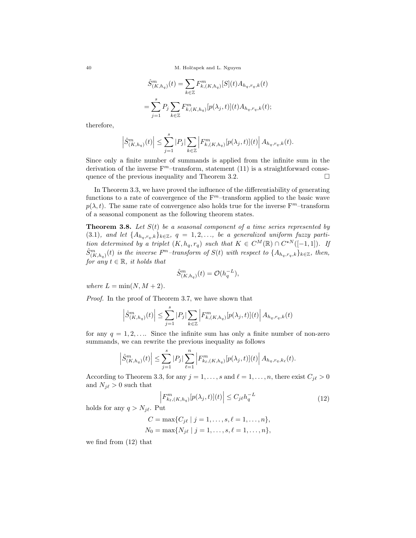40 M. Holˇcapek and L. Nguyen

$$
\hat{S}_{(K,h_q)}^m(t) = \sum_{k \in \mathbb{Z}} F_{k,(K,h_q)}^m[S](t) A_{h_q,r_q,k}(t)
$$
  
= 
$$
\sum_{j=1}^s P_j \sum_{k \in \mathbb{Z}} F_{k,(K,h_q)}^m[p(\lambda_j,t)](t) A_{h_q,r_q,k}(t);
$$

therefore,

$$
\left|\hat{S}_{(K,h_q)}^m(t)\right| \leq \sum_{j=1}^s|P_j|\sum_{k\in\mathbb{Z}}\left|F_{k,(K,h_q)}^m[p(\lambda_j,t)](t)\right|A_{h_q,r_q,k}(t).
$$

Since only a finite number of summands is applied from the infinite sum in the derivation of the inverse  $F<sup>m</sup>$ -transform, statement (11) is a straightforward consequence of the previous inequality and Theorem 3.2.  $\Box$ 

In Theorem 3.3, we have proved the influence of the differentiability of generating functions to a rate of convergence of the  $F<sup>m</sup>$ -transform applied to the basic wave  $p(\lambda, t)$ . The same rate of convergence also holds true for the inverse  $F<sup>m</sup>$ -transform of a seasonal component as the following theorem states.

**Theorem 3.8.** Let  $S(t)$  be a seasonal component of a time series represented by (3.1), and let  $\{A_{h_q,r_q,k}\}_{k\in\mathbb{Z}}$ ,  $q=1,2,\ldots$ , be a generalized uniform fuzzy partition determined by a triplet  $(K, h_q, r_q)$  such that  $K \in C^M(\mathbb{R}) \cap C^{*N}([-1, 1])$ . If  $\hat{S}^m_{(K,h_q)}(t)$  is the inverse F<sup>m</sup>-transform of  $S(t)$  with respect to  $\{A_{h_q,r_q,k}\}_{k\in\mathbb{Z}}$ , then, for any  $t \in \mathbb{R}$ , it holds that

$$
\hat{S}_{(K,h_q)}^m(t) = \mathcal{O}(h_q^{-L}),
$$

where  $L = \min(N, M + 2)$ .

Proof. In the proof of Theorem 3.7, we have shown that

$$
\left| \hat{S}^m_{(K,h_q)}(t) \right| \leq \sum_{j=1}^s |P_j| \sum_{k \in \mathbb{Z}} \left| F^m_{k,(K,h_q)}[p(\lambda_j,t)](t) \right| A_{h_q,r_q,k}(t)
$$

for any  $q = 1, 2, \ldots$  Since the infinite sum has only a finite number of non-zero summands, we can rewrite the previous inequality as follows

$$
\left| \hat{S}_{(K,h_q)}^m(t) \right| \leq \sum_{j=1}^s |P_j| \sum_{\ell=1}^n \left| F_{k_{\ell},(K,h_q)}^m[p(\lambda_j,t)](t) \right| A_{h_q,r_q,k_{\ell}}(t).
$$

According to Theorem 3.3, for any  $j = 1, \ldots, s$  and  $\ell = 1, \ldots, n$ , there exist  $C_{j\ell} > 0$ and  $N_{j\ell} > 0$  such that

$$
\left| F_{k_{\ell},(K,h_q)}^m[p(\lambda_j,t)](t) \right| \le C_j \ell h_q^{-L} \tag{12}
$$

holds for any  $q > N_{j\ell}$ . Put

$$
C = \max\{C_{j\ell} \mid j = 1, \dots, s, \ell = 1, \dots, n\},
$$
  

$$
N_0 = \max\{N_{j\ell} \mid j = 1, \dots, s, \ell = 1, \dots, n\},
$$

we find from (12) that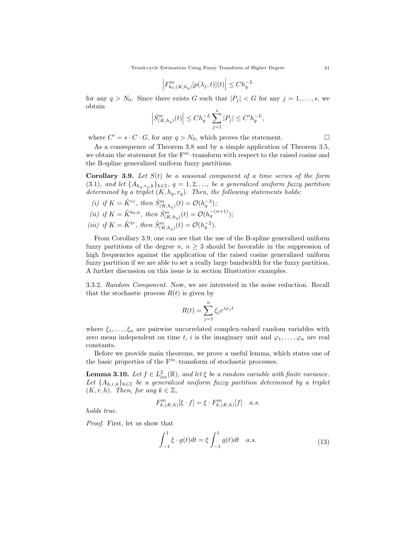$$
\left| F_{k_{\ell},(K,h_q)}^m[p(\lambda_j,t)](t) \right| \leq Ch_q^{-L}
$$

for any  $q > N_0$ . Since there exists G such that  $|P_j| < G$  for any  $j = 1, \ldots, s$ , we obtain

$$
\Big|\hat{S}_{(K,h_q)}^m(t)\Big|\leq Ch_q^{-L}\sum_{j=1}^s|P_j|\leq C'h_q^{-L},
$$

where  $C' = s \cdot C \cdot G$ , for any  $q > N_0$ , which proves the statement.

As a consequence of Theorem 3.8 and by a simple application of Theorem 3.5, we obtain the statement for the  $F<sup>m</sup>$ -transform with respect to the raised cosine and the B-spline generalized uniform fuzzy partitions.

**Corollary 3.9.** Let  $S(t)$  be a seasonal component of a time series of the form (3.1), and let  $\{A_{h_q,r_q,k}\}_{k\in\mathbb{Z}}$ ,  $q=1,2,\ldots$ , be a generalized uniform fuzzy partition determined by a triplet  $(K, h_q, r_q)$ . Then, the following statements holds:

(i) if 
$$
K = \tilde{K}^{rc}
$$
, then  $\hat{S}_{(K, h_q)}^m(t) = \mathcal{O}(h_q^{-3})$ ;  
\n(ii) if  $K = \tilde{K}^{bs,n}$ , then  $\hat{S}_{(K, h_q)}^m(t) = \mathcal{O}(h_q^{-(n+1)})$ ;  
\n(iii) if  $K = \tilde{K}^{tr}$ , then  $\hat{S}_{(K, h_q)}^m(t) = \mathcal{O}(h_q^{-2})$ .

From Corollary 3.9, one can see that the use of the B-spline generalized uniform fuzzy partitions of the degree  $n, n \geq 3$  should be favorable in the suppression of high frequencies against the application of the raised cosine generalized uniform fuzzy partition if we are able to set a really large bandwidth for the fuzzy partition. A further discussion on this issue is in section Illustrative examples.

3.3.2. Random Component. Now, we are interested in the noise reduction. Recall that the stochastic process  $R(t)$  is given by

$$
R(t) = \sum_{j=1}^{n} \xi_j e^{i\varphi_j t}
$$

where  $\xi_1, \ldots, \xi_n$  are pairwise uncorrelated complex-valued random variables with zero mean independent on time t, i is the imaginary unit and  $\varphi_1, \ldots, \varphi_n$  are real constants.

Before we provide main theorems, we prove a useful lemma, which states one of the basic properties of the  $F<sup>m</sup>$ -transform of stochastic processes.

**Lemma 3.10.** Let  $f \in L^2_{loc}(\mathbb{R})$ , and let  $\xi$  be a random variable with finite variance. Let  ${A_{h,r,k}}_{k\in\mathbb{Z}}$  be a generalized uniform fuzzy partition determined by a triplet  $(K, r, h)$ . Then, for any  $k \in \mathbb{Z}$ ,

$$
F_{k,(K,h)}^m[\xi\cdot f]=\xi\cdot F_{k,(K,h)}^m[f]\quad a.s.
$$

holds true.

Proof. First, let us show that

$$
\int_{-1}^{1} \xi \cdot g(t)dt = \xi \int_{-1}^{1} g(t)dt \quad a.s.
$$
 (13)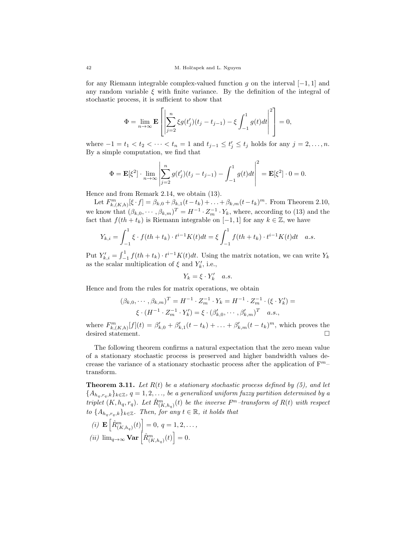for any Riemann integrable complex-valued function q on the interval  $[-1, 1]$  and any random variable  $\xi$  with finite variance. By the definition of the integral of stochastic process, it is sufficient to show that

$$
\Phi = \lim_{n \to \infty} \mathbf{E} \left[ \left| \sum_{j=2}^{n} \xi g(t'_j)(t_j - t_{j-1}) - \xi \int_{-1}^{1} g(t) dt \right|^2 \right] = 0,
$$

where  $-1 = t_1 < t_2 < \cdots < t_n = 1$  and  $t_{j-1} \le t'_j \le t_j$  holds for any  $j = 2, \ldots, n$ . By a simple computation, we find that

$$
\Phi = \mathbf{E}[\xi^2] \cdot \lim_{n \to \infty} \left| \sum_{j=2}^n g(t'_j)(t_j - t_{j-1}) - \int_{-1}^1 g(t)dt \right|^2 = \mathbf{E}[\xi^2] \cdot 0 = 0.
$$

Hence and from Remark 2.14, we obtain (13).

Let  $F_{k,(K,h)}^m[\xi \cdot f] = \beta_{k,0} + \beta_{k,1}(t-t_k) + \ldots + \beta_{k,m}(t-t_k)^m$ . From Theorem 2.10, we know that  $(\beta_{k,0},\cdots,\beta_{k,m})^T = H^{-1} \cdot Z_m^{-1} \cdot Y_k$ , where, according to (13) and the fact that  $f(th + t_k)$  is Riemann integrable on [-1, 1] for any  $k \in \mathbb{Z}$ , we have

$$
Y_{k,i} = \int_{-1}^{1} \xi \cdot f(th + t_k) \cdot t^{i-1} K(t) dt = \xi \int_{-1}^{1} f(th + t_k) \cdot t^{i-1} K(t) dt \quad a.s.
$$

Put  $Y'_{k,i} = \int_{-1}^{1} f(th + t_k) \cdot t^{i-1} K(t) dt$ . Using the matrix notation, we can write  $Y_k$ as the scalar multiplication of  $\xi$  and  $Y'_k$ , i.e.,

$$
Y_k = \xi \cdot Y'_k \quad a.s.
$$

Hence and from the rules for matrix operations, we obtain

$$
(\beta_{k,0}, \cdots, \beta_{k,m})^T = H^{-1} \cdot Z_m^{-1} \cdot Y_k = H^{-1} \cdot Z_m^{-1} \cdot (\xi \cdot Y'_k) = \xi \cdot (H^{-1} \cdot Z_m^{-1} \cdot Y'_k) = \xi \cdot (\beta'_{k,0}, \cdots, \beta'_{k,m})^T \quad a.s.,
$$

where  $F_{k,(K,h)}^m[f](t) = \beta'_{k,0} + \beta'_{k,1}(t-t_k) + \ldots + \beta'_{k,m}(t-t_k)^m$ , which proves the desired statement.  $\square$ 

The following theorem confirms a natural expectation that the zero mean value of a stationary stochastic process is preserved and higher bandwidth values decrease the variance of a stationary stochastic process after the application of  $F^{m-}$ transform.

**Theorem 3.11.** Let  $R(t)$  be a stationary stochastic process defined by (5), and let  ${A_{h_a,r_a,k}}_{k\in\mathbb{Z}}$ ,  $q=1,2,\ldots$ , be a generalized uniform fuzzy partition determined by a triplet  $(K, h_q, r_q)$ . Let  $\hat{R}_{(K, h_q)}^m(t)$  be the inverse  $F^m$ -transform of  $R(t)$  with respect to  $\{A_{h_q,r_q,k}\}_{k\in\mathbb{Z}}$ . Then, for any  $t \in \mathbb{R}$ , it holds that

(i)  $\mathbf{E}\left[\hat{R}_{(K,h_q)}^m(t)\right] = 0, q = 1, 2, \ldots,$ (*ii*)  $\lim_{q\to\infty}$  **Var**  $\left[\hat{R}_{(K,h_q)}^m(t)\right] = 0.$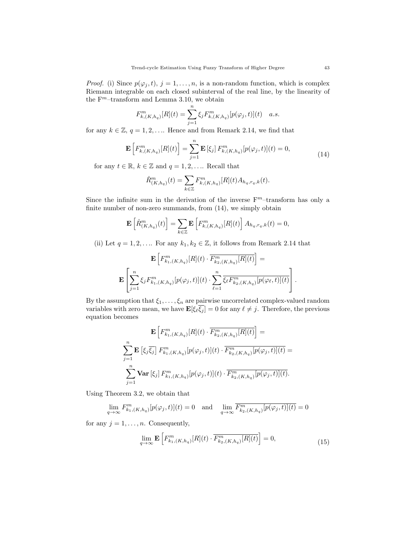*Proof.* (i) Since  $p(\varphi_j, t)$ ,  $j = 1, ..., n$ , is a non-random function, which is complex Riemann integrable on each closed subinterval of the real line, by the linearity of the  $\mathbf{F}^m\text{–transform}$  and Lemma 3.10, we obtain

$$
F_{k,(K,h_q)}^m[R](t) = \sum_{j=1}^n \xi_j F_{k,(K,h_q)}^m[p(\varphi_j,t)](t) \quad a.s.
$$

for any  $k \in \mathbb{Z}$ ,  $q = 1, 2, \ldots$  Hence and from Remark 2.14, we find that

$$
\mathbf{E}\left[F_{k,(K,h_q)}^m[R](t)\right] = \sum_{j=1}^n \mathbf{E}\left[\xi_j\right] F_{k,(K,h_q)}^m[p(\varphi_j,t)](t) = 0,
$$
\n(14)

for any  $t \in \mathbb{R}$ ,  $k \in \mathbb{Z}$  and  $q = 1, 2, \ldots$  Recall that

$$
\hat{R}_{(K,h_q)}^m(t) = \sum_{k \in \mathbb{Z}} F_{k,(K,h_q)}^m[R](t) A_{h_q,r_q,k}(t).
$$

Since the infinite sum in the derivation of the inverse  $F<sup>m</sup>$ -transform has only a finite number of non-zero summands, from (14), we simply obtain

$$
\mathbf{E}\left[\hat{R}_{(K,h_q)}^m(t)\right] = \sum_{k\in\mathbb{Z}} \mathbf{E}\left[F_{k,(K,h_q)}^m[R](t)\right] A_{h_q,r_q,k}(t) = 0,
$$

(ii) Let  $q = 1, 2, \ldots$  For any  $k_1, k_2 \in \mathbb{Z}$ , it follows from Remark 2.14 that

$$
\mathbf{E}\left[F_{k_1,(K,h_q)}^m[R](t) \cdot \overline{F_{k_2,(K,h_q)}^m[R](t)}\right] = \mathbf{E}\left[\sum_{j=1}^n \xi_j F_{k_1,(K,h_q)}^m[p(\varphi_j,t)](t) \cdot \sum_{\ell=1}^n \overline{\xi_\ell F_{k_2,(K,h_q)}^m[p(\varphi_\ell,t)](t)}\right].
$$

By the assumption that  $\xi_1, \ldots, \xi_n$  are pairwise uncorrelated complex-valued random variables with zero mean, we have  $\mathbf{E}[\xi_{\ell}\xi_j] = 0$  for any  $\ell \neq j$ . Therefore, the previous equation becomes

$$
\mathbf{E}\left[F_{k_1,(K,h_q)}^m[R](t) \cdot \overline{F_{k_2,(K,h_q)}^m[R](t)}\right] =
$$
\n
$$
\sum_{j=1}^n \mathbf{E}\left[\xi_j \overline{\xi_j}\right] F_{k_1,(K,h_q)}^m[p(\varphi_j, t)](t) \cdot \overline{F_{k_2,(K,h_q)}^m[p(\varphi_j, t)](t)} =
$$
\n
$$
\sum_{j=1}^n \mathbf{Var}\left[\xi_j\right] F_{k_1,(K,h_q)}^m[p(\varphi_j, t)](t) \cdot \overline{F_{k_2,(K,h_q)}^m[p(\varphi_j, t)](t)}.
$$

Using Theorem 3.2, we obtain that

$$
\lim_{q \to \infty} F_{k_1, (K, h_q)}^m[p(\varphi_j, t)](t) = 0 \text{ and } \lim_{q \to \infty} \overline{F_{k_2, (K, h_q)}^m[p(\varphi_j, t)](t)} = 0
$$

for any  $j = 1, \ldots, n$ . Consequently,

$$
\lim_{q \to \infty} \mathbf{E} \left[ F_{k_1, (K, h_q)}^m[R](t) \cdot \overline{F_{k_2, (K, h_q)}^m[R](t)} \right] = 0,
$$
\n(15)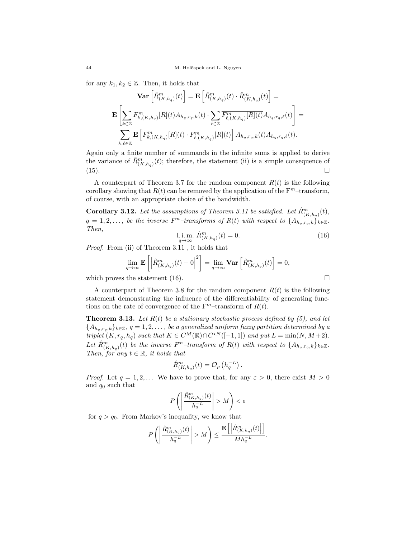for any  $k_1, k_2 \in \mathbb{Z}$ . Then, it holds that

$$
\mathbf{Var}\left[\hat{R}_{(K,h_q)}^m(t)\right] = \mathbf{E}\left[\hat{R}_{(K,h_q)}^m(t) \cdot \overline{\hat{R}_{(K,h_q)}^m(t)}\right] =
$$

$$
\mathbf{E}\left[\sum_{k \in \mathbb{Z}} F_{k,(K,h_q)}^m[R](t) A_{h_q,r_q,k}(t) \cdot \sum_{\ell \in \mathbb{Z}} \overline{F_{\ell,(K,h_q)}^m[R](t)} A_{h_q,r_q,\ell}(t)\right] =
$$

$$
\sum_{k,\ell \in \mathbb{Z}} \mathbf{E}\left[F_{k,(K,h_q)}^m[R](t) \cdot \overline{F_{\ell,(K,h_q)}^m[R](t)}\right] A_{h_q,r_q,k}(t) A_{h_q,r_q,\ell}(t).
$$

Again only a finite number of summands in the infinite sums is applied to derive the variance of  $\hat{R}^m_{(K,h_q)}(t)$ ; therefore, the statement (ii) is a simple consequence of  $(15).$ 

A counterpart of Theorem 3.7 for the random component  $R(t)$  is the following corollary showing that  $R(t)$  can be removed by the application of the  $F<sup>m</sup>$ -transform, of course, with an appropriate choice of the bandwidth.

**Corollary 3.12.** Let the assumptions of Theorem 3.11 be satisfied. Let  $\hat{R}_{(K,h_q)}^m(t)$ ,  $q = 1, 2, \ldots$ , be the inverse  $F<sup>m</sup>$ -transforms of  $R(t)$  with respect to  $\{A_{h_q,r_q,k}\}_{k \in \mathbb{Z}}$ . Then,

$$
\lim_{q \to \infty} \hat{R}_{(K,h_q)}^m(t) = 0.
$$
\n(16)

Proof. From (ii) of Theorem 3.11 , it holds that

$$
\lim_{q \to \infty} \mathbf{E}\left[\left|\hat{R}_{(K,h_q)}^m(t) - 0\right|^2\right] = \lim_{q \to \infty} \mathbf{Var}\left[\hat{R}_{(K,h_q)}^m(t)\right] = 0,
$$

which proves the statement (16).

A counterpart of Theorem 3.8 for the random component  $R(t)$  is the following statement demonstrating the influence of the differentiability of generating functions on the rate of convergence of the  $F<sup>m</sup>$ -transform of  $R(t)$ .

**Theorem 3.13.** Let  $R(t)$  be a stationary stochastic process defined by (5), and let  ${A_{h_q,r_q,k}}_{k\in\mathbb{Z}}$ ,  $q=1,2,\ldots$ , be a generalized uniform fuzzy partition determined by a triplet  $(K, r_q, h_q)$  such that  $K \in C^M(\mathbb{R}) \cap C^{*N}([-1, 1])$  and put  $L = \min(N, M + 2)$ . Let  $\hat{R}_{(K,h_q)}^m(t)$  be the inverse  $F^m$ -transform of  $R(t)$  with respect to  $\{A_{h_q,r_q,k}\}_{k\in\mathbb{Z}}$ . Then, for any  $t \in \mathbb{R}$ , it holds that

$$
\hat{R}_{(K,h_q)}^m(t) = \mathcal{O}_p\left(h_q^{-L}\right).
$$

*Proof.* Let  $q = 1, 2, \ldots$  We have to prove that, for any  $\varepsilon > 0$ , there exist  $M > 0$ and  $q_0$  such that

$$
P\left(\left|\frac{\hat{R}_{(K,h_q)}^m(t)}{h_q^{-L}}\right|>M\right)<\varepsilon
$$

for  $q > q_0$ . From Markov's inequality, we know that

$$
P\left(\left|\frac{\hat{R}_{(K,h_q)}^m(t)}{h_q^{-L}}\right|>M\right)\leq \frac{\mathbf{E}\left[\left|\hat{R}_{(K,h_q)}^m(t)\right|\right]}{Mh_q^{-L}}.
$$

$$
\Box
$$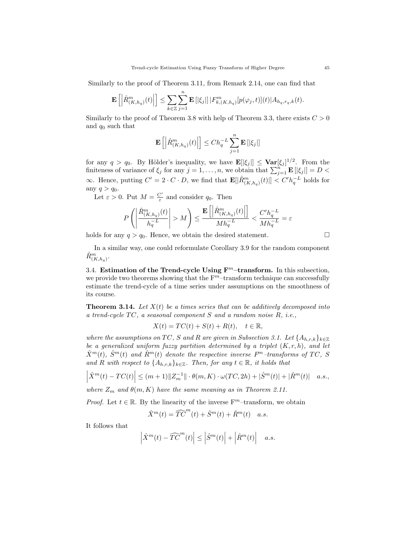Similarly to the proof of Theorem 3.11, from Remark 2.14, one can find that

$$
\mathbf{E}\left[\left|\hat{R}_{(K,h_q)}^m(t)\right|\right] \leq \sum_{k\in\mathbb{Z}}\sum_{j=1}^n\mathbf{E}\left[|\xi_j|\right]|F_{k,(K,h_q)}^m[p(\varphi_j,t)](t)|A_{h_q,r_q,k}(t).
$$

Similarly to the proof of Theorem 3.8 with help of Theorem 3.3, there exists  $C > 0$ and  $q_0$  such that

$$
\mathbf{E}\left[\left|\hat{R}_{(K,h_q)}^m(t)\right|\right] \leq Ch_q^{-L} \sum_{j=1}^n \mathbf{E}\left[\left|\xi_j\right|\right]
$$

for any  $q > q_0$ . By Hölder's inequality, we have  $\mathbf{E}[\xi_j] \leq \mathbf{Var}[\xi_j]^{1/2}$ . From the finiteness of variance of  $\xi_j$  for any  $j = 1, \ldots, n$ , we obtain that  $\sum_{j=1}^{n} \mathbf{E} [|\xi_j|] = D$ ∞. Hence, putting  $C' = 2 \cdot C \cdot D$ , we find that  $\mathbf{E}[\hat{R}_{(K,h_q)}^m(t)] < C'h_q^{-L}$  holds for any  $q > q_0$ .

Let  $\varepsilon > 0$ . Put  $M = \frac{C'}{\varepsilon}$  $\frac{1}{\varepsilon}$  and consider  $q_0$ . Then

$$
P\left(\left|\frac{\hat{R}_{(K,h_q)}^m(t)}{h_q^{-L}}\right| > M\right) \le \frac{\mathbf{E}\left[\left|\hat{R}_{(K,h_q)}^m(t)\right|\right]}{Mh_q^{-L}} < \frac{C'h_q^{-L}}{Mh_q^{-L}} = \varepsilon
$$

holds for any  $q > q_0$ . Hence, we obtain the desired statement.

In a similar way, one could reformulate Corollary 3.9 for the random component  $\hat{R}_{(K,h_q)}^m$ .

3.4. Estimation of the Trend-cycle Using  $\mathbf{F}^m$ -transform. In this subsection, we provide two theorems showing that the  $F<sup>m</sup>$ -transform technique can successfully estimate the trend-cycle of a time series under assumptions on the smoothness of its course.

**Theorem 3.14.** Let  $X(t)$  be a times series that can be additively decomposed into a trend-cycle  $TC$ , a seasonal component S and a random noise R, i.e.,

$$
X(t) = TC(t) + S(t) + R(t), \quad t \in \mathbb{R},
$$

where the assumptions on TC, S and R are given in Subsection 3.1. Let  $\{A_{h,r,k}\}_{k\in\mathbb{Z}}$ be a generalized uniform fuzzy partition determined by a triplet  $(K, r, h)$ , and let  $\hat{X}^m(t)$ ,  $\hat{S}^m(t)$  and  $\hat{R}^m(t)$  denote the respective inverse  $F^m$ -transforms of TC, S and R with respect to  $\{A_{h,r,k}\}_{k\in\mathbb{Z}}$ . Then, for any  $t \in \mathbb{R}$ , it holds that

$$
\left| \hat{X}^m(t) - TC(t) \right| \le (m+1) \|Z_m^{-1}\| \cdot \theta(m, K) \cdot \omega(TC, 2h) + |\hat{S}^m(t)| + |\hat{R}^m(t)| \quad a.s.,
$$

where  $Z_m$  and  $\theta(m, K)$  have the same meaning as in Theorem 2.11.

*Proof.* Let  $t \in \mathbb{R}$ . By the linearity of the inverse  $F<sup>m</sup>$ -transform, we obtain

$$
\hat{X}^m(t) = \widehat{TC}^m(t) + \hat{S}^m(t) + \hat{R}^m(t) \quad a.s.
$$

It follows that

$$
\left|\hat{X}^m(t) - \widehat{TC}^m(t)\right| \le \left|\hat{S}^m(t)\right| + \left|\hat{R}^m(t)\right| \quad a.s.
$$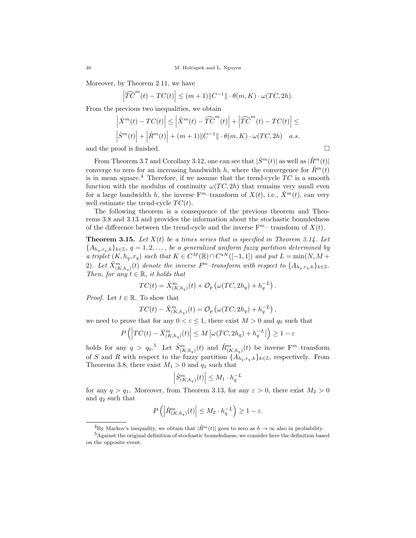Moreover, by Theorem 2.11, we have

$$
\widehat{TC}^m(t) - TC(t) \Big| \le (m+1) \|C^{-1}\| \cdot \theta(m, K) \cdot \omega(TC, 2h).
$$

From the previous two inequalities, we obtain

$$
\left| \hat{X}^m(t) - TC(t) \right| \le \left| \hat{X}^m(t) - \widehat{TC}^m(t) \right| + \left| \widehat{TC}^m(t) - TC(t) \right| \le
$$
  

$$
\left| \hat{S}^m(t) \right| + \left| \hat{R}^m(t) \right| + (m+1) \| C^{-1} \| \cdot \theta(m, K) \cdot \omega(TC, 2h) \quad a.s.
$$

and the proof is finished.  $\Box$ 

 $\overline{\phantom{a}}$  $\overline{\phantom{a}}$  $\overline{\phantom{a}}$ 

From Theorem 3.7 and Corollary 3.12, one can see that  $|\hat{S}^m(t)|$  as well as  $|\hat{R}^m(t)|$ converge to zero for an increasing bandwidth h, where the convergence for  $\hat{R}^m(t)$ is in mean square.<sup>4</sup> Therefore, if we assume that the trend-cycle  $TC$  is a smooth function with the modulus of continuity  $\omega(TC, 2h)$  that remains very small even for a large bandwidth h, the inverse  $F<sup>m</sup>$ -transform of  $X(t)$ , i.e.,  $\hat{X}<sup>m</sup>(t)$ , can very well estimate the trend-cycle  $TC(t)$ .

The following theorem is a consequence of the previous theorem and Theorems 3.8 and 3.13 and provides the information about the stochastic boundedness of the difference between the trend-cycle and the inverse  $F<sup>m</sup>$  transform of  $X(t)$ .

**Theorem 3.15.** Let  $X(t)$  be a times series that is specified in Theorem 3.14. Let  ${A_{h_a,r_a,k}}_{k\in\mathbb{Z}}, q=1,2,\ldots$ , be a generalized uniform fuzzy partition determined by a triplet  $(K, h_q, r_q)$  such that  $K \in C^M(\mathbb{R}) \cap C^{*N}([-1, 1])$  and put  $L = \min(N, M + q)$ 2). Let  $\hat{X}_{(K,h_q)}^m(t)$  denote the inverse  $F^m$ -transform with respect to  $\{A_{h_q,r_q,k}\}_{k\in\mathbb{Z}}$ . Then, for any  $t \in \mathbb{R}$ , it holds that

$$
TC(t) = \hat{X}_{(K,h_q)}^m(t) + \mathcal{O}_p\left(\omega(TC, 2h_q) + h_q^{-L}\right).
$$

*Proof.* Let  $t \in \mathbb{R}$ . To show that

$$
TC(t) - \hat{X}_{(K,h_q)}^m(t) = \mathcal{O}_p\left(\omega(TC, 2h_q) + h_q^{-L}\right),
$$

we need to prove that for any  $0 < \varepsilon \leq 1$ , there exist  $M > 0$  and  $q_0$  such that

$$
P\left(\left|TC(t) - \hat{X}_{(K,h_q)}^m(t)\right| \le M \left|\omega(TC, 2h_q) + h_q^{-L}\right|\right) \ge 1 - \varepsilon
$$

holds for any  $q > q_0$ .<sup>5</sup> Let  $\hat{S}_{(K,h_q)}^m(t)$  and  $\hat{R}_{(K,h_q)}^m(t)$  be inverse F<sup>m</sup>-transform of S and R with respect to the fuzzy partition  $\{A_{h_q,r_q,k}\}_{k\in\mathbb{Z}}$ , respectively. From Theorems 3.8, there exist  $M_1 > 0$  and  $q_1$  such that

$$
\left| \hat{S}^m_{(K,h_q)}(t) \right| \le M_1 \cdot h_q^{-L}
$$

for any  $q > q_1$ . Moreover, from Theorem 3.13, for any  $\varepsilon > 0$ , there exist  $M_2 > 0$ and  $q_2$  such that

$$
P\left(\left|\hat{R}_{(K,h_q)}^m(t)\right| \le M_2 \cdot h_q^{-L}\right) \ge 1-\varepsilon.
$$

<sup>&</sup>lt;sup>4</sup>By Markov's inequality, we obtain that  $|\hat{R}^m(t)|$  goes to zero as  $h \to \infty$  also in probability.

<sup>&</sup>lt;sup>5</sup>Against the original definition of stochastic boundedness, we consider here the definition based on the opposite event.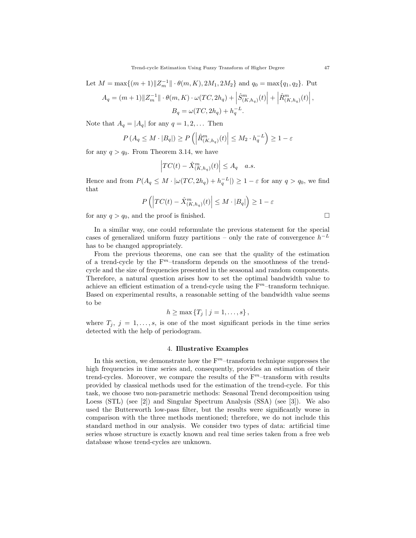Let  $M = \max\{(m+1)\|Z_m^{-1}\| \cdot \theta(m, K), 2M_1, 2M_2\}$  and  $q_0 = \max\{q_1, q_2\}$ . Put

$$
A_q = (m+1) \|Z_m^{-1}\| \cdot \theta(m, K) \cdot \omega(TC, 2h_q) + \left| \hat{S}_{(K, h_q)}^m(t) \right| + \left| \hat{R}_{(K, h_q)}^m(t) \right|,
$$
  

$$
B_q = \omega(TC, 2h_q) + h_q^{-L}.
$$

Note that  $A_q = |A_q|$  for any  $q = 1, 2, \ldots$  Then

$$
P(A_q \le M \cdot |B_q|) \ge P\left(\left|\hat{R}_{(K,h_q)}^m(t)\right| \le M_2 \cdot h_q^{-L}\right) \ge 1 - \varepsilon
$$

for any  $q > q_0$ . From Theorem 3.14, we have

$$
\left| TC(t) - \hat{X}_{(K,h_q)}^m(t) \right| \le A_q \quad a.s.
$$

Hence and from  $P(A_q \leq M \cdot |\omega(TC, 2h_q) + h_q^{-L}|) \geq 1 - \varepsilon$  for any  $q > q_0$ , we find that

$$
P\left(\left|TC(t) - \hat{X}_{(K,h_q)}^m(t)\right| \le M \cdot |B_q|\right) \ge 1 - \varepsilon
$$

for any  $q > q_0$ , and the proof is finished.

In a similar way, one could reformulate the previous statement for the special cases of generalized uniform fuzzy partitions – only the rate of convergence  $h^{-L}$ has to be changed appropriately.

From the previous theorems, one can see that the quality of the estimation of a trend-cycle by the  $F<sup>m</sup>$ -transform depends on the smoothness of the trendcycle and the size of frequencies presented in the seasonal and random components. Therefore, a natural question arises how to set the optimal bandwidth value to achieve an efficient estimation of a trend-cycle using the  $F<sup>m</sup>$ -transform technique. Based on experimental results, a reasonable setting of the bandwidth value seems to be

$$
h \geq \max \{ T_j \mid j = 1, \ldots, s \},
$$

where  $T_j$ ,  $j = 1, \ldots, s$ , is one of the most significant periods in the time series detected with the help of periodogram.

#### 4. Illustrative Examples

In this section, we demonstrate how the  $F<sup>m</sup>$ -transform technique suppresses the high frequencies in time series and, consequently, provides an estimation of their trend-cycles. Moreover, we compare the results of the  $F<sup>m</sup>$ -transform with results provided by classical methods used for the estimation of the trend-cycle. For this task, we choose two non-parametric methods: Seasonal Trend decomposition using Loess (STL) (see [2]) and Singular Spectrum Analysis (SSA) (see [3]). We also used the Butterworth low-pass filter, but the results were significantly worse in comparison with the three methods mentioned; therefore, we do not include this standard method in our analysis. We consider two types of data: artificial time series whose structure is exactly known and real time series taken from a free web database whose trend-cycles are unknown.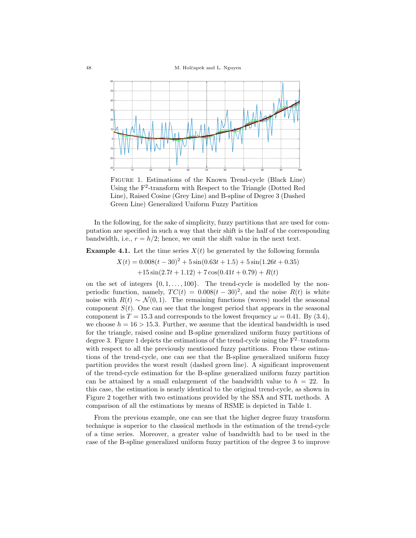48 M. Holˇcapek and L. Nguyen



Figure 1. Estimations of the Known Trend-cycle (Black Line) Using the F<sup>2</sup> -transform with Respect to the Triangle (Dotted Red Line), Raised Cosine (Grey Line) and B-spline of Degree 3 (Dashed Green Line) Generalized Uniform Fuzzy Partition

In the following, for the sake of simplicity, fuzzy partitions that are used for computation are specified in such a way that their shift is the half of the corresponding bandwidth, i.e.,  $r = h/2$ ; hence, we omit the shift value in the next text.

**Example 4.1.** Let the time series  $X(t)$  be generated by the following formula

$$
X(t) = 0.008(t - 30)^{2} + 5\sin(0.63t + 1.5) + 5\sin(1.26t + 0.35)
$$
  
+15 sin(2.7t + 1.12) + 7 cos(0.41t + 0.79) + R(t)

on the set of integers  $\{0, 1, \ldots, 100\}$ . The trend-cycle is modelled by the nonperiodic function, namely,  $TC(t) = 0.008(t - 30)^2$ , and the noise  $R(t)$  is white noise with  $R(t) \sim \mathcal{N}(0, 1)$ . The remaining functions (waves) model the seasonal component  $S(t)$ . One can see that the longest period that appears in the seasonal component is  $T = 15.3$  and corresponds to the lowest frequency  $\omega = 0.41$ . By (3.4), we choose  $h = 16 > 15.3$ . Further, we assume that the identical bandwidth is used for the triangle, raised cosine and B-spline generalized uniform fuzzy partitions of degree 3. Figure 1 depicts the estimations of the trend-cycle using the  $F^2$ –transform with respect to all the previously mentioned fuzzy partitions. From these estimations of the trend-cycle, one can see that the B-spline generalized uniform fuzzy partition provides the worst result (dashed green line). A significant improvement of the trend-cycle estimation for the B-spline generalized uniform fuzzy partition can be attained by a small enlargement of the bandwidth value to  $h = 22$ . In this case, the estimation is nearly identical to the original trend-cycle, as shown in Figure 2 together with two estimations provided by the SSA and STL methods. A comparison of all the estimations by means of RSME is depicted in Table 1.

From the previous example, one can see that the higher degree fuzzy transform technique is superior to the classical methods in the estimation of the trend-cycle of a time series. Moreover, a greater value of bandwidth had to be used in the case of the B-spline generalized uniform fuzzy partition of the degree 3 to improve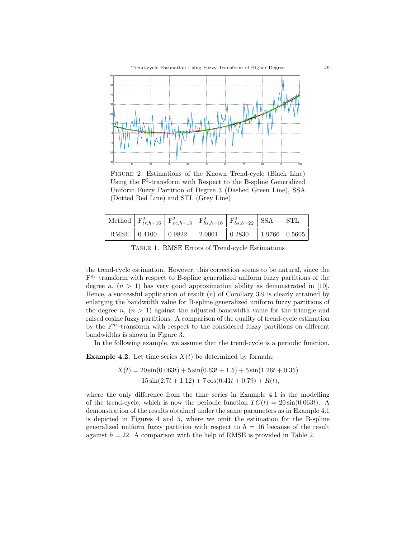

Figure 2. Estimations of the Known Trend-cycle (Black Line) Using the  $F^2$ -transform with Respect to the B-spline Generalized Uniform Fuzzy Partition of Degree 3 (Dashed Green Line), SSA (Dotted Red Line) and STL (Grey Line)

|  | Method $ F_{tr,h=16}^2 F_{rc,h=16}^2 F_{bs,h=16}^2 F_{bs,h=22}^2 SSA$   STL                    |  |  |
|--|------------------------------------------------------------------------------------------------|--|--|
|  | RMSE $\vert$ 0.4100 $\vert$ 0.9822 $\vert$ 2.0001 $\vert$ 0.2830 $\vert$ 1.9766 $\vert$ 0.5605 |  |  |

Table 1. RMSE Errors of Trend-cycle Estimations

the trend-cycle estimation. However, this correction seems to be natural, since the F <sup>m</sup>–transform with respect to B-spline generalized uniform fuzzy partitions of the degree n,  $(n > 1)$  has very good approximation ability as demonstrated in [10]. Hence, a successful application of result (ii) of Corollary 3.9 is clearly attained by enlarging the bandwidth value for B-spline generalized uniform fuzzy partitions of the degree n,  $(n > 1)$  against the adjusted bandwidth value for the triangle and raised cosine fuzzy partitions. A comparison of the quality of trend-cycle estimation by the  $F<sup>m</sup>$ -transform with respect to the considered fuzzy partitions on different bandwidths is shown in Figure 3.

In the following example, we assume that the trend-cycle is a periodic function.

**Example 4.2.** Let time series  $X(t)$  be determined by formula:

$$
X(t) = 20\sin(0.063t) + 5\sin(0.63t + 1.5) + 5\sin(1.26t + 0.35)
$$

$$
+15\sin(2.7t + 1.12) + 7\cos(0.41t + 0.79) + R(t),
$$

where the only difference from the time series in Example 4.1 is the modelling of the trend-cycle, which is now the periodic function  $TC(t) = 20 \sin(0.063t)$ . A demonstration of the results obtained under the same parameters as in Example 4.1 is depicted in Figures 4 and 5, where we omit the estimation for the B-spline generalized uniform fuzzy partition with respect to  $h = 16$  because of the result against  $h = 22$ . A comparison with the help of RMSE is provided in Table 2.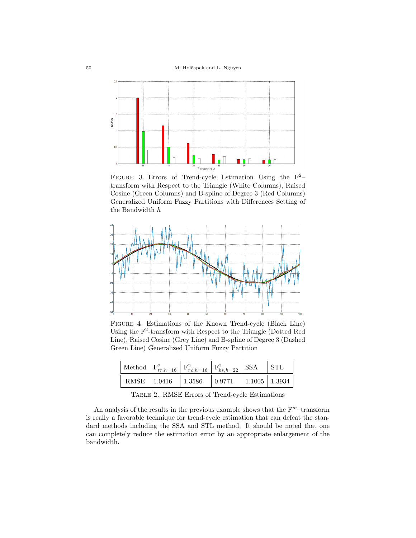50 M. Holˇcapek and L. Nguyen



FIGURE 3. Errors of Trend-cycle Estimation Using the  $F^2$ transform with Respect to the Triangle (White Columns), Raised Cosine (Green Columns) and B-spline of Degree 3 (Red Columns) Generalized Uniform Fuzzy Partitions with Differences Setting of the Bandwidth h



Figure 4. Estimations of the Known Trend-cycle (Black Line) Using the  $F^2$ -transform with Respect to the Triangle (Dotted Red Line), Raised Cosine (Grey Line) and B-spline of Degree 3 (Dashed Green Line) Generalized Uniform Fuzzy Partition

|  | Method $F_{tr,h=16}^2$ $F_{rc,h=16}^2$ $F_{bs,h=22}^2$ SSA |  | ∣ STL |
|--|------------------------------------------------------------|--|-------|
|  | RMSE   1.0416   1.3586   0.9771   1.1005   1.3934          |  |       |

Table 2. RMSE Errors of Trend-cycle Estimations

An analysis of the results in the previous example shows that the  $F<sup>m</sup>$ -transform is really a favorable technique for trend-cycle estimation that can defeat the standard methods including the SSA and STL method. It should be noted that one can completely reduce the estimation error by an appropriate enlargement of the bandwidth.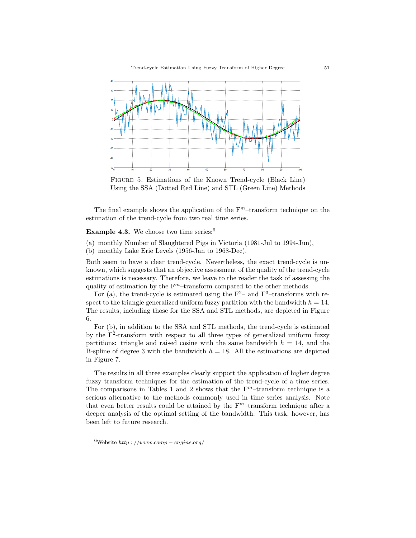

Figure 5. Estimations of the Known Trend-cycle (Black Line) Using the SSA (Dotted Red Line) and STL (Green Line) Methods

The final example shows the application of the  $F<sup>m</sup>$ -transform technique on the estimation of the trend-cycle from two real time series.

### **Example 4.3.** We choose two time series:  $6$

(a) monthly Number of Slaughtered Pigs in Victoria (1981-Jul to 1994-Jun),

(b) monthly Lake Erie Levels (1956-Jan to 1968-Dec).

Both seem to have a clear trend-cycle. Nevertheless, the exact trend-cycle is unknown, which suggests that an objective assessment of the quality of the trend-cycle estimations is necessary. Therefore, we leave to the reader the task of assessing the quality of estimation by the  $F<sup>m</sup>$ -transform compared to the other methods.

For (a), the trend-cycle is estimated using the  $F^2$ – and  $F^3$ –transforms with respect to the triangle generalized uniform fuzzy partition with the bandwidth  $h = 14$ . The results, including those for the SSA and STL methods, are depicted in Figure 6.

For (b), in addition to the SSA and STL methods, the trend-cycle is estimated by the  $F^2$ -transform with respect to all three types of generalized uniform fuzzy partitions: triangle and raised cosine with the same bandwidth  $h = 14$ , and the B-spline of degree 3 with the bandwidth  $h = 18$ . All the estimations are depicted in Figure 7.

The results in all three examples clearly support the application of higher degree fuzzy transform techniques for the estimation of the trend-cycle of a time series. The comparisons in Tables 1 and 2 shows that the  $F<sup>m</sup>$ -transform technique is a serious alternative to the methods commonly used in time series analysis. Note that even better results could be attained by the  $F<sup>m</sup>$ -transform technique after a deeper analysis of the optimal setting of the bandwidth. This task, however, has been left to future research.

 $6$ Website http://www.comp – engine.org/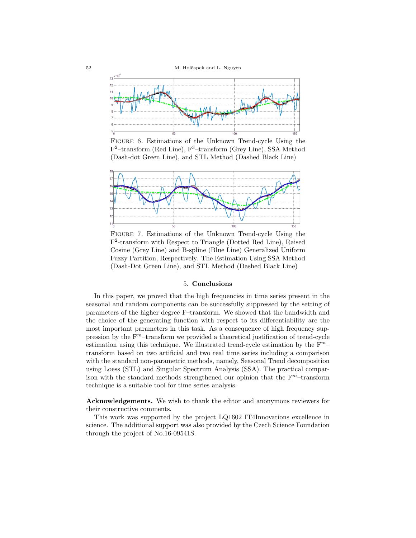

Figure 6. Estimations of the Unknown Trend-cycle Using the F<sup>2</sup>-transform (Red Line), F<sup>3</sup>-transform (Grey Line), SSA Method (Dash-dot Green Line), and STL Method (Dashed Black Line)



Figure 7. Estimations of the Unknown Trend-cycle Using the F 2 -transform with Respect to Triangle (Dotted Red Line), Raised Cosine (Grey Line) and B-spline (Blue Line) Generalized Uniform Fuzzy Partition, Respectively. The Estimation Using SSA Method (Dash-Dot Green Line), and STL Method (Dashed Black Line)

## 5. Conclusions

In this paper, we proved that the high frequencies in time series present in the seasonal and random components can be successfully suppressed by the setting of parameters of the higher degree F–transform. We showed that the bandwidth and the choice of the generating function with respect to its differentiability are the most important parameters in this task. As a consequence of high frequency suppression by the  $F<sup>m</sup>$ -transform we provided a theoretical justification of trend-cycle estimation using this technique. We illustrated trend-cycle estimation by the  $F<sup>m</sup>$ transform based on two artificial and two real time series including a comparison with the standard non-parametric methods, namely, Seasonal Trend decomposition using Loess (STL) and Singular Spectrum Analysis (SSA). The practical comparison with the standard methods strengthened our opinion that the  $\mathbf{F}^m$ –transform technique is a suitable tool for time series analysis.

Acknowledgements. We wish to thank the editor and anonymous reviewers for their constructive comments.

This work was supported by the project LQ1602 IT4Innovations excellence in science. The additional support was also provided by the Czech Science Foundation through the project of No.16-09541S.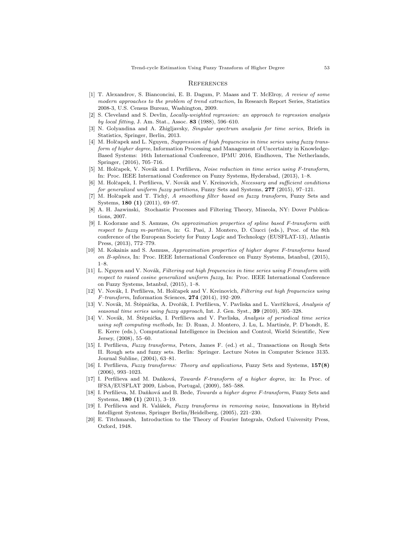#### **REFERENCES**

- [1] T. Alexandrov, S. Bianconcini, E. B. Dagum, P. Maass and T. McElroy, A review of some modern approaches to the problem of trend extraction, In Research Report Series, Statistics 2008-3, U.S. Census Bureau, Washington, 2009.
- [2] S. Cleveland and S. Devlin, Locally-weighted regression: an approach to regression analysis by local fitting, J. Am. Stat., Assoc. 83 (1988), 596–610.
- [3] N. Golyandina and A. Zhigljavsky, Singular spectrum analysis for time series, Briefs in Statistics, Springer, Berlin, 2013.
- [4] M. Holčapek and L. Nguyen, Suppression of high frequencies in time series using fuzzy transform of higher degree, Information Processing and Management of Uncertainty in Knowledge-Based Systems: 16th International Conference, IPMU 2016, Eindhoven, The Netherlands, Springer, (2016), 705–716.
- [5] M. Holčapek, V. Novák and I. Perfilieva, Noise reduction in time series using F-transform, In: Proc. IEEE International Conference on Fuzzy Systems, Hyderabad, (2013), 1–8.
- [6] M. Holčapek, I. Perfilieva, V. Novák and V. Kreinovich, Necessary and sufficient conditions for generalized uniform fuzzy partitions, Fuzzy Sets and Systems, 277 (2015), 97-121.
- [7] M. Holčapek and T. Tichý, A smoothing filter based on fuzzy transform, Fuzzy Sets and Systems, 180 (1) (2011), 69–97.
- [8] A. H. Jazwinski, Stochastic Processes and Filtering Theory, Mineola, NY: Dover Publications, 2007.
- [9] I. Kodorane and S. Asmuss, On approximation properties of spline based F-transform with respect to fuzzy m-partition, in: G. Pasi, J. Montero, D. Ciucci (eds.), Proc. of the 8th conference of the European Society for Fuzzy Logic and Technology (EUSFLAT-13), Atlantis Press, (2013), 772–779.
- [10] M. Kokainis and S. Asmuss, Approximation properties of higher degree F-transforms based on B-splines, In: Proc. IEEE International Conference on Fuzzy Systems, Istanbul, (2015), 1–8.
- [11] L. Nguyen and V. Novák, Filtering out high frequencies in time series using F-transform with respect to raised cosine generalized uniform fuzzy, In: Proc. IEEE International Conference on Fuzzy Systems, Istanbul, (2015), 1–8.
- [12] V. Novák, I. Perfilieva, M. Holčapek and V. Kreinovich, Filtering out high frequencies using  $F-transform$ , Information Sciences, 274 (2014), 192-209.
- [13] V. Novák, M. Štěpnička, A. Dvořák, I. Perfilieva, V. Pavliska and L. Vavříčková, Analysis of seasonal time series using fuzzy approach, Int. J. Gen. Syst., 39 (2010), 305–328.
- [14] V. Novák, M. Štěpnička, I. Perfilieva and V. Pavliska, Analysis of periodical time series using soft computing methods, In: D. Ruan, J. Montero, J. Lu, L. Martinéz, P. D'hondt, E. E. Kerre (eds.), Computational Intelligence in Decision and Control, World Scientific, New Jersey, (2008), 55–60.
- [15] I. Perfilieva, Fuzzy transforms, Peters, James F. (ed.) et al., Transactions on Rough Sets II. Rough sets and fuzzy sets. Berlin: Springer. Lecture Notes in Computer Science 3135. Journal Subline, (2004), 63–81.
- [16] I. Perfilieva, Fuzzy transforms: Theory and applications, Fuzzy Sets and Systems, 157(8) (2006), 993–1023.
- [17] I. Perfilieva and M. Daňková, Towards F-transform of a higher degree, in: In Proc. of IFSA/EUSFLAT 2009, Lisbon, Portugal, (2009), 585–588.
- [18] I. Perfilieva, M. Daňková and B. Bede, Towards a higher degree F-transform, Fuzzy Sets and Systems, 180 (1) (2011), 3–19.
- [19] I. Perfilieva and R. Valášek, Fuzzy transforms in removing noise, Innovations in Hybrid Intelligent Systems, Springer Berlin/Heidelberg, (2005), 221–230.
- [20] E. Titchmarsh, Introduction to the Theory of Fourier Integrals, Oxford University Press, Oxford, 1948.